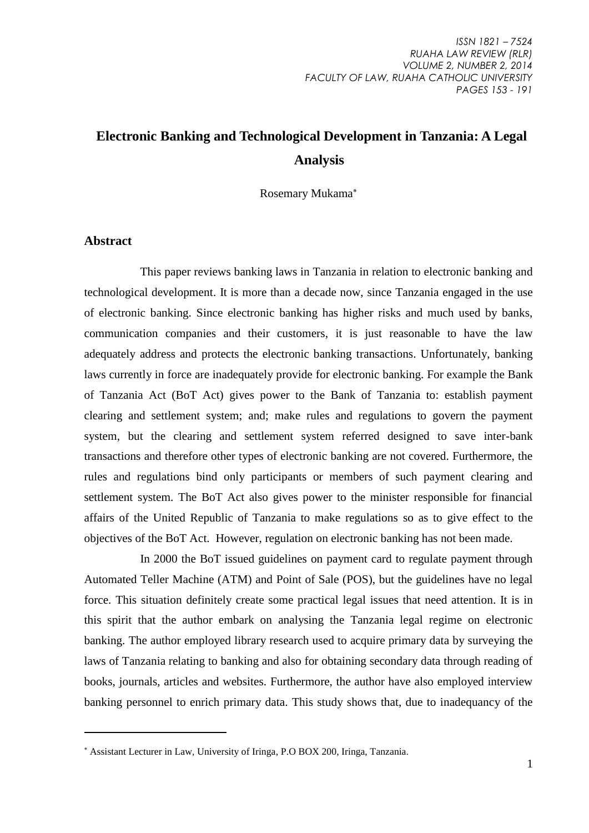# **Electronic Banking and Technological Development in Tanzania: A Legal Analysis**

Rosemary Mukama

#### **Abstract**

1

This paper reviews banking laws in Tanzania in relation to electronic banking and technological development. It is more than a decade now, since Tanzania engaged in the use of electronic banking. Since electronic banking has higher risks and much used by banks, communication companies and their customers, it is just reasonable to have the law adequately address and protects the electronic banking transactions. Unfortunately, banking laws currently in force are inadequately provide for electronic banking. For example the Bank of Tanzania Act (BoT Act) gives power to the Bank of Tanzania to: establish payment clearing and settlement system; and; make rules and regulations to govern the payment system, but the clearing and settlement system referred designed to save inter-bank transactions and therefore other types of electronic banking are not covered. Furthermore, the rules and regulations bind only participants or members of such payment clearing and settlement system. The BoT Act also gives power to the minister responsible for financial affairs of the United Republic of Tanzania to make regulations so as to give effect to the objectives of the BoT Act. However, regulation on electronic banking has not been made.

In 2000 the BoT issued guidelines on payment card to regulate payment through Automated Teller Machine (ATM) and Point of Sale (POS), but the guidelines have no legal force. This situation definitely create some practical legal issues that need attention. It is in this spirit that the author embark on analysing the Tanzania legal regime on electronic banking. The author employed library research used to acquire primary data by surveying the laws of Tanzania relating to banking and also for obtaining secondary data through reading of books, journals, articles and websites. Furthermore, the author have also employed interview banking personnel to enrich primary data. This study shows that, due to inadequancy of the

Assistant Lecturer in Law, University of Iringa, P.O BOX 200, Iringa, Tanzania.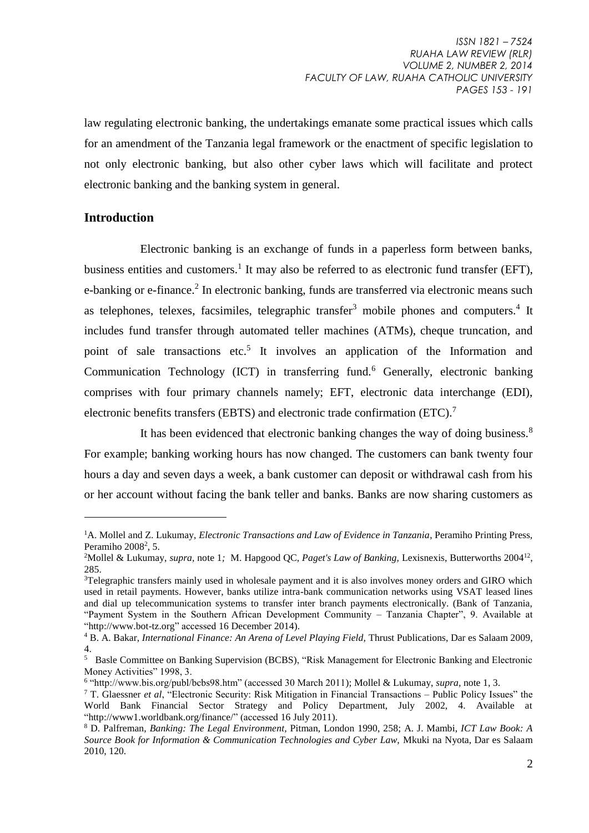law regulating electronic banking, the undertakings emanate some practical issues which calls for an amendment of the Tanzania legal framework or the enactment of specific legislation to not only electronic banking, but also other cyber laws which will facilitate and protect electronic banking and the banking system in general.

#### **Introduction**

<u>.</u>

Electronic banking is an exchange of funds in a paperless form between banks, business entities and customers.<sup>1</sup> It may also be referred to as electronic fund transfer (EFT), e-banking or e-finance.<sup>2</sup> In electronic banking, funds are transferred via electronic means such as telephones, telexes, facsimiles, telegraphic transfer<sup>3</sup> mobile phones and computers.<sup>4</sup> It includes fund transfer through automated teller machines (ATMs), cheque truncation, and point of sale transactions etc.<sup>5</sup> It involves an application of the Information and Communication Technology (ICT) in transferring fund.<sup>6</sup> Generally, electronic banking comprises with four primary channels namely; EFT, electronic data interchange (EDI), electronic benefits transfers (EBTS) and electronic trade confirmation (ETC).<sup>7</sup>

It has been evidenced that electronic banking changes the way of doing business.<sup>8</sup> For example; banking working hours has now changed. The customers can bank twenty four hours a day and seven days a week, a bank customer can deposit or withdrawal cash from his or her account without facing the bank teller and banks. Banks are now sharing customers as

<sup>&</sup>lt;sup>1</sup>A. Mollel and Z. Lukumay, *Electronic Transactions and Law of Evidence in Tanzania*, Peramiho Printing Press, Peramiho 2008<sup>2</sup>, 5.

<sup>&</sup>lt;sup>2</sup>Mollel & Lukumay, *supra*, note 1; M. Hapgood QC, *Paget's Law of Banking*, Lexisnexis, Butterworths 2004<sup>12</sup>, 285.

<sup>3</sup>Telegraphic transfers mainly used in wholesale payment and it is also involves money orders and GIRO which used in retail payments. However, banks utilize intra-bank communication networks using VSAT leased lines and dial up telecommunication systems to transfer inter branch payments electronically. (Bank of Tanzania, "Payment System in the Southern African Development Community – Tanzania Chapter", 9. Available at ["http://www.bot-tz.org"](http://www.bot-tz.org/) accessed 16 December 2014).

<sup>4</sup> B. A. Bakar, *International Finance: An Arena of Level Playing Field,* Thrust Publications, Dar es Salaam 2009, 4.

<sup>5</sup> Basle Committee on Banking Supervision (BCBS), "Risk Management for Electronic Banking and Electronic Money Activities" 1998, 3.

<sup>6</sup> ["http://www.bis.org/publ/bcbs98.htm" \(accessed 30 March 2011\)](http://www.bis.org/publ/bcbs98.htm%5C); Mollel & Lukumay, *supra,* note 1, 3.

<sup>7</sup> T. Glaessner *et al*, "Electronic Security: Risk Mitigation in Financial Transactions – Public Policy Issues" the World Bank Financial Sector Strategy and Policy Department, July 2002, 4. Available at ["http://www1.worldbank.org/finance/"](http://www1.worldbank.org/finance/) (accessed 16 July 2011).

<sup>8</sup> D. Palfreman, *Banking: The Legal Environment,* Pitman, London 1990, 258; A. J. Mambi, *ICT Law Book: A Source Book for Information & Communication Technologies and Cyber Law,* Mkuki na Nyota, Dar es Salaam 2010, 120.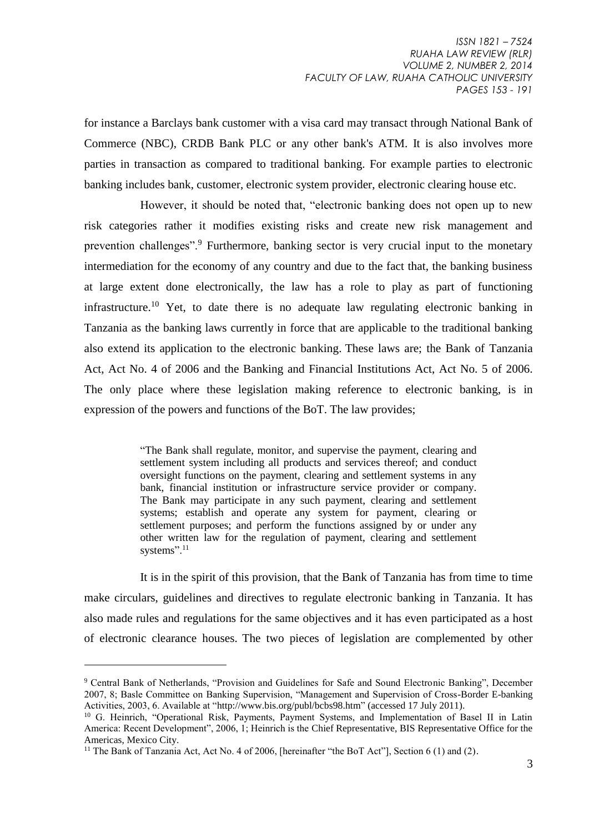for instance a Barclays bank customer with a visa card may transact through National Bank of Commerce (NBC), CRDB Bank PLC or any other bank's ATM. It is also involves more parties in transaction as compared to traditional banking. For example parties to electronic banking includes bank, customer, electronic system provider, electronic clearing house etc.

However, it should be noted that, "electronic banking does not open up to new risk categories rather it modifies existing risks and create new risk management and prevention challenges".<sup>9</sup> Furthermore, banking sector is very crucial input to the monetary intermediation for the economy of any country and due to the fact that, the banking business at large extent done electronically, the law has a role to play as part of functioning infrastructure.<sup>10</sup> Yet, to date there is no adequate law regulating electronic banking in Tanzania as the banking laws currently in force that are applicable to the traditional banking also extend its application to the electronic banking. These laws are; the Bank of Tanzania Act, Act No. 4 of 2006 and the Banking and Financial Institutions Act, Act No. 5 of 2006. The only place where these legislation making reference to electronic banking, is in expression of the powers and functions of the BoT. The law provides;

> "The Bank shall regulate, monitor, and supervise the payment, clearing and settlement system including all products and services thereof; and conduct oversight functions on the payment, clearing and settlement systems in any bank, financial institution or infrastructure service provider or company. The Bank may participate in any such payment, clearing and settlement systems; establish and operate any system for payment, clearing or settlement purposes; and perform the functions assigned by or under any other written law for the regulation of payment, clearing and settlement systems".<sup>11</sup>

It is in the spirit of this provision, that the Bank of Tanzania has from time to time make circulars, guidelines and directives to regulate electronic banking in Tanzania. It has also made rules and regulations for the same objectives and it has even participated as a host of electronic clearance houses. The two pieces of legislation are complemented by other

<sup>9</sup> Central Bank of Netherlands, "Provision and Guidelines for Safe and Sound Electronic Banking", December 2007, 8; Basle Committee on Banking Supervision, "Management and Supervision of Cross-Border E-banking Activities, 2003, 6. Available at ["http://www.bis.org/publ/bcbs98.htm"](http://www.bis.org/publ/bcbs98.htm) (accessed 17 July 2011).

<sup>&</sup>lt;sup>10</sup> G. Heinrich, "Operational Risk, Payments, Payment Systems, and Implementation of Basel II in Latin America: Recent Development", 2006, 1; Heinrich is the Chief Representative, BIS Representative Office for the Americas, Mexico City.

<sup>&</sup>lt;sup>11</sup> The Bank of Tanzania Act, Act No. 4 of 2006, [hereinafter "the BoT Act"], Section 6 (1) and (2).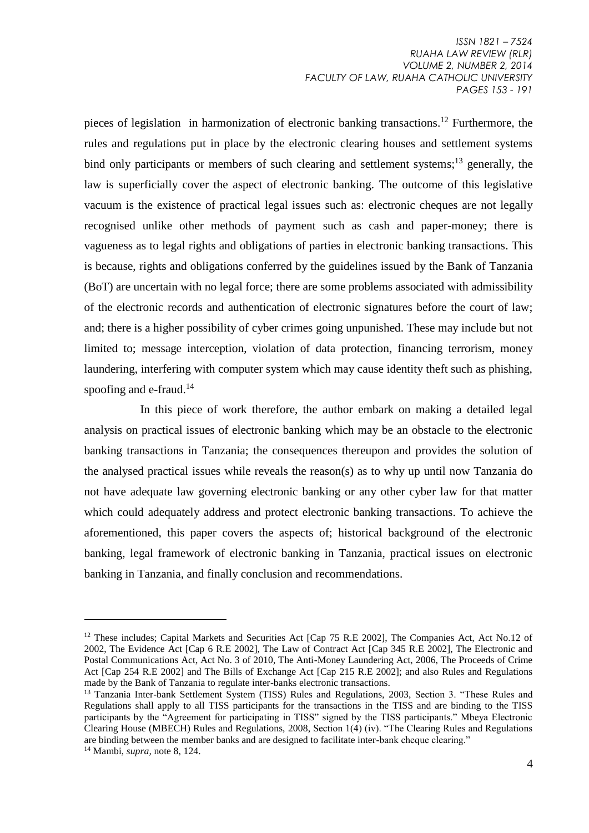pieces of legislation in harmonization of electronic banking transactions. <sup>12</sup> Furthermore, the rules and regulations put in place by the electronic clearing houses and settlement systems bind only participants or members of such clearing and settlement systems;<sup>13</sup> generally, the law is superficially cover the aspect of electronic banking. The outcome of this legislative vacuum is the existence of practical legal issues such as: electronic cheques are not legally recognised unlike other methods of payment such as cash and paper-money; there is vagueness as to legal rights and obligations of parties in electronic banking transactions. This is because, rights and obligations conferred by the guidelines issued by the Bank of Tanzania (BoT) are uncertain with no legal force; there are some problems associated with admissibility of the electronic records and authentication of electronic signatures before the court of law; and; there is a higher possibility of cyber crimes going unpunished. These may include but not limited to; message interception, violation of data protection, financing terrorism, money laundering, interfering with computer system which may cause identity theft such as phishing, spoofing and e-fraud.<sup>14</sup>

In this piece of work therefore, the author embark on making a detailed legal analysis on practical issues of electronic banking which may be an obstacle to the electronic banking transactions in Tanzania; the consequences thereupon and provides the solution of the analysed practical issues while reveals the reason(s) as to why up until now Tanzania do not have adequate law governing electronic banking or any other cyber law for that matter which could adequately address and protect electronic banking transactions. To achieve the aforementioned, this paper covers the aspects of; historical background of the electronic banking, legal framework of electronic banking in Tanzania, practical issues on electronic banking in Tanzania, and finally conclusion and recommendations.

<sup>&</sup>lt;sup>12</sup> These includes; Capital Markets and Securities Act [Cap 75 R.E 2002], The Companies Act, Act No.12 of 2002, The Evidence Act [Cap 6 R.E 2002], The Law of Contract Act [Cap 345 R.E 2002], The Electronic and Postal Communications Act, Act No. 3 of 2010, The Anti-Money Laundering Act, 2006, The Proceeds of Crime Act [Cap 254 R.E 2002] and The Bills of Exchange Act [Cap 215 R.E 2002]; and also Rules and Regulations made by the Bank of Tanzania to regulate inter-banks electronic transactions.

<sup>&</sup>lt;sup>13</sup> Tanzania Inter-bank Settlement System (TISS) Rules and Regulations, 2003, Section 3. "These Rules and Regulations shall apply to all TISS participants for the transactions in the TISS and are binding to the TISS participants by the "Agreement for participating in TISS" signed by the TISS participants." Mbeya Electronic Clearing House (MBECH) Rules and Regulations, 2008, Section 1(4) (iv). "The Clearing Rules and Regulations are binding between the member banks and are designed to facilitate inter-bank cheque clearing." <sup>14</sup> Mambi, *supra,* note 8, 124.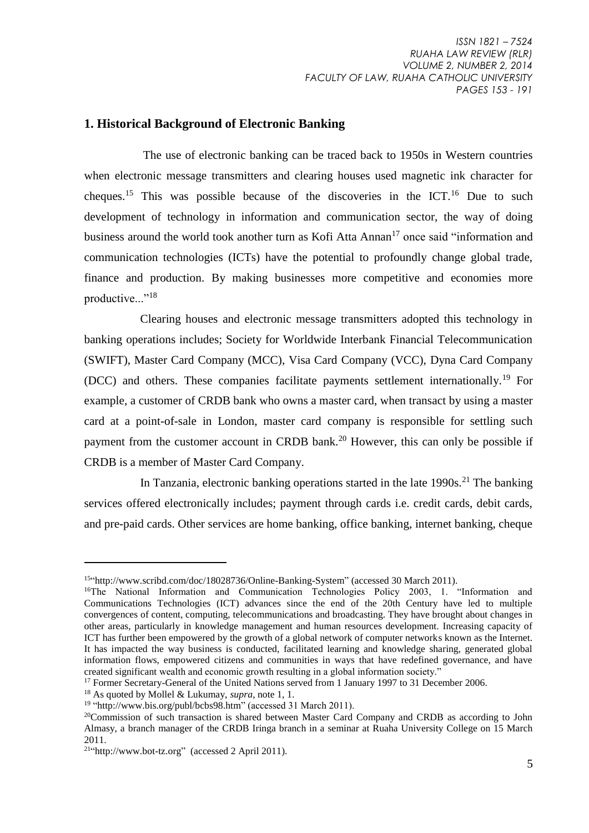#### **1. Historical Background of Electronic Banking**

The use of electronic banking can be traced back to 1950s in Western countries when electronic message transmitters and clearing houses used magnetic ink character for cheques.<sup>15</sup> This was possible because of the discoveries in the ICT.<sup>16</sup> Due to such development of technology in information and communication sector, the way of doing business around the world took another turn as Kofi Atta Annan<sup>17</sup> once said "information and communication technologies (ICTs) have the potential to profoundly change global trade, finance and production. By making businesses more competitive and economies more productive..."<sup>18</sup>

Clearing houses and electronic message transmitters adopted this technology in banking operations includes; Society for Worldwide Interbank Financial Telecommunication (SWIFT), Master Card Company (MCC), Visa Card Company (VCC), Dyna Card Company (DCC) and others. These companies facilitate payments settlement internationally.<sup>19</sup> For example, a customer of CRDB bank who owns a master card, when transact by using a master card at a point-of-sale in London, master card company is responsible for settling such payment from the customer account in CRDB bank.<sup>20</sup> However, this can only be possible if CRDB is a member of Master Card Company.

In Tanzania, electronic banking operations started in the late  $1990s$ <sup>21</sup>. The banking services offered electronically includes; payment through cards i.e. credit cards, debit cards, and pre-paid cards. Other services are home banking, office banking, internet banking, cheque

<sup>&</sup>lt;sup>15"</sup>http://www.scribd.com/doc/18028736/Online-Banking-System" (accessed 30 March 2011).

<sup>&</sup>lt;sup>16</sup>The National Information and Communication Technologies Policy 2003, 1. "Information and Communications Technologies (ICT) advances since the end of the 20th Century have led to multiple convergences of content, computing, telecommunications and broadcasting. They have brought about changes in other areas, particularly in knowledge management and human resources development. Increasing capacity of ICT has further been empowered by the growth of a global network of computer networks known as the Internet. It has impacted the way business is conducted, facilitated learning and knowledge sharing, generated global information flows, empowered citizens and communities in ways that have redefined governance, and have created significant wealth and economic growth resulting in a global information society."

<sup>&</sup>lt;sup>17</sup> Former Secretary-General of the United Nations served from 1 January 1997 to 31 December 2006.

<sup>18</sup> As quoted by Mollel & Lukumay, *supra*, note 1, 1.

<sup>&</sup>lt;sup>19</sup> ["http://www.bis.org/publ/bcbs98.htm"](http://www.bis.org/publ/bcbs98.htm) (accessed 31 March 2011).

<sup>&</sup>lt;sup>20</sup>Commission of such transaction is shared between Master Card Company and CRDB as according to John Almasy, a branch manager of the CRDB Iringa branch in a seminar at Ruaha University College on 15 March 2011.

 $21$ ["http://www.bot-tz.org"](http://www.bot-tz.org/) [\(accessed 2 April 2011\)](http://www.centralbank.go.ke.publicnotices/valuecapping.aspx%5C).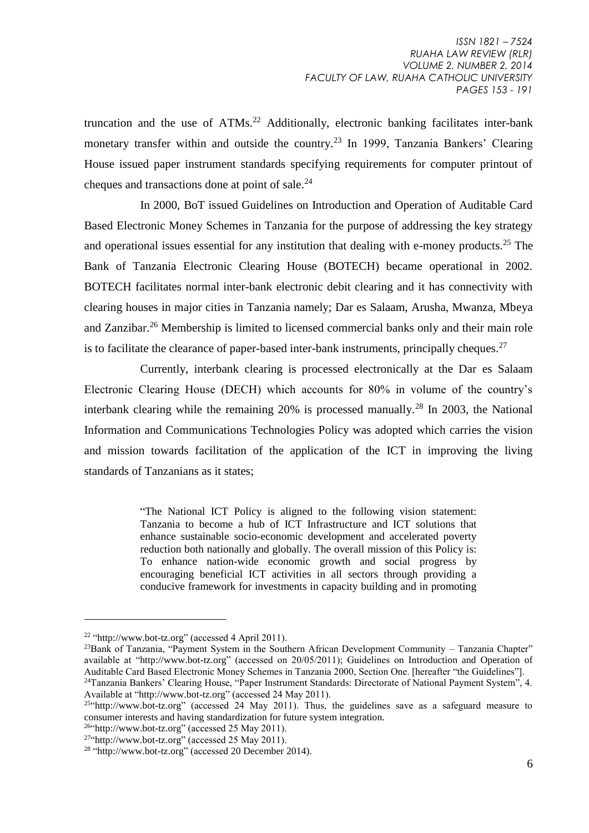truncation and the use of ATMs.<sup>22</sup> Additionally, electronic banking facilitates inter-bank monetary transfer within and outside the country.<sup>23</sup> In 1999, Tanzania Bankers' Clearing House issued paper instrument standards specifying requirements for computer printout of cheques and transactions done at point of sale.<sup>24</sup>

In 2000, BoT issued Guidelines on Introduction and Operation of Auditable Card Based Electronic Money Schemes in Tanzania for the purpose of addressing the key strategy and operational issues essential for any institution that dealing with e-money products.<sup>25</sup> The Bank of Tanzania Electronic Clearing House (BOTECH) became operational in 2002. BOTECH facilitates normal inter-bank electronic debit clearing and it has connectivity with clearing houses in major cities in Tanzania namely; Dar es Salaam, Arusha, Mwanza, Mbeya and Zanzibar.<sup>26</sup> Membership is limited to licensed commercial banks only and their main role is to facilitate the clearance of paper-based inter-bank instruments, principally cheques.<sup>27</sup>

Currently, interbank clearing is processed electronically at the Dar es Salaam Electronic Clearing House (DECH) which accounts for 80% in volume of the country's interbank clearing while the remaining  $20\%$  is processed manually.<sup>28</sup> In 2003, the National Information and Communications Technologies Policy was adopted which carries the vision and mission towards facilitation of the application of the ICT in improving the living standards of Tanzanians as it states;

> "The National ICT Policy is aligned to the following vision statement: Tanzania to become a hub of ICT Infrastructure and ICT solutions that enhance sustainable socio-economic development and accelerated poverty reduction both nationally and globally. The overall mission of this Policy is: To enhance nation-wide economic growth and social progress by encouraging beneficial ICT activities in all sectors through providing a conducive framework for investments in capacity building and in promoting

<sup>&</sup>lt;sup>22</sup> ["http://www.bot-tz.org"](http://www.bot-tz.org/) (accessed 4 April 2011).

<sup>&</sup>lt;sup>23</sup>Bank of Tanzania, "Payment System in the Southern African Development Community – Tanzania Chapter" available at ["http://www.bot-tz.org"](http://www.bot-tz.org/) (accessed on 20/05/2011); Guidelines on Introduction and Operation of Auditable Card Based Electronic Money Schemes in Tanzania 2000, Section One. [hereafter "the Guidelines"]. <sup>24</sup>Tanzania Bankers' Clearing House, "Paper Instrument Standards: Directorate of National Payment System", 4.

Available at ["http://www.bot-tz.org"](http://www.bot-tz.org/) (accessed 24 May 2011).<br><sup>25 ch</sup>ttp://www.bot-tz.org" (accessed 24 May 2011). Thus, the guidelines save as a safeguard measure to consumer interests and having standardization for future system integration.

 $26$ <sup>c</sup>http://www.bot-tz.org" (accessed 25 May 2011).

 $27$ ["http://www.bot-tz.org"](http://www.bot-tz.org/) (accessed 25 May 2011).

 $28$  ["http://www.bot-tz.org"](http://www.bot-tz.org/) (accessed 20 December 2014).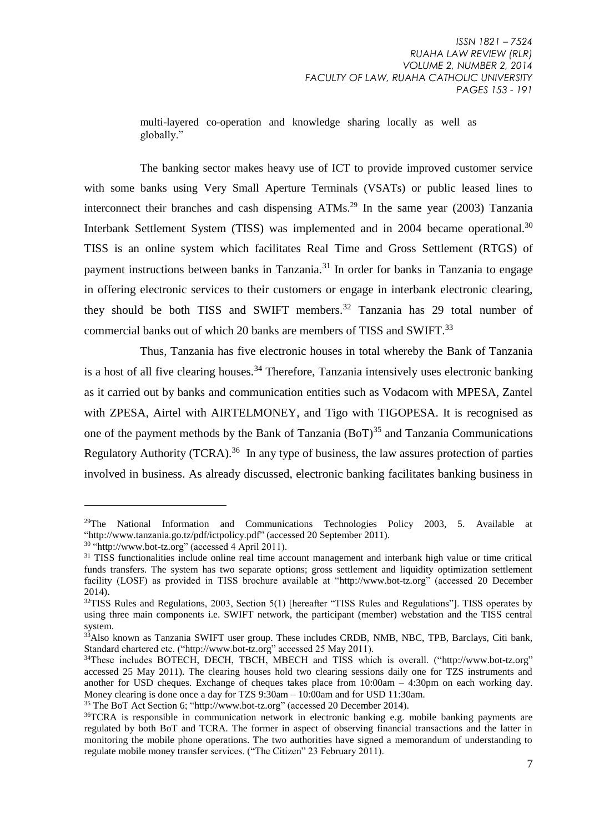multi-layered co-operation and knowledge sharing locally as well as globally."

The banking sector makes heavy use of ICT to provide improved customer service with some banks using Very Small Aperture Terminals (VSATs) or public leased lines to interconnect their branches and cash dispensing  $ATMs<sup>29</sup>$  In the same year (2003) Tanzania Interbank Settlement System (TISS) was implemented and in 2004 became operational.<sup>30</sup> TISS is an online system which facilitates Real Time and Gross Settlement (RTGS) of payment instructions between banks in Tanzania.<sup>31</sup> In order for banks in Tanzania to engage in offering electronic services to their customers or engage in interbank electronic clearing, they should be both TISS and SWIFT members.<sup>32</sup> Tanzania has 29 total number of commercial banks out of which 20 banks are members of TISS and SWIFT.<sup>33</sup>

Thus, Tanzania has five electronic houses in total whereby the Bank of Tanzania is a host of all five clearing houses.<sup>34</sup> Therefore, Tanzania intensively uses electronic banking as it carried out by banks and communication entities such as Vodacom with MPESA, Zantel with ZPESA, Airtel with AIRTELMONEY, and Tigo with TIGOPESA. It is recognised as one of the payment methods by the Bank of Tanzania  $(BoT)^{35}$  and Tanzania Communications Regulatory Authority (TCRA).<sup>36</sup> In any type of business, the law assures protection of parties involved in business. As already discussed, electronic banking facilitates banking business in

<sup>&</sup>lt;sup>29</sup>The National Information and Communications Technologies Policy 2003, 5. Available at ["http://www.tanzania.go.tz/pdf/ictpolicy.pdf"](http://www.tanzania.go.tz/pdf/ictpolicy.pdf) (accessed 20 September 2011).

<sup>&</sup>lt;sup>30</sup> ["http://www.bot-tz.org"](http://www.bot-tz.org/) (accessed 4 April 2011).

<sup>&</sup>lt;sup>31</sup> TISS functionalities include online real time account management and interbank high value or time critical funds transfers. The system has two separate options; gross settlement and liquidity optimization settlement facility (LOSF) as provided in TISS brochure available at ["http://www.bot-tz.org"](http://www.bot-tz.org/) (accessed 20 December 2014).

 $32$ TISS Rules and Regulations, 2003, Section 5(1) [hereafter "TISS Rules and Regulations"]. TISS operates by using three main components i.e. SWIFT network, the participant (member) webstation and the TISS central system.

 $3\overline{3}$ Also known as Tanzania SWIFT user group. These includes CRDB, NMB, NBC, TPB, Barclays, Citi bank, Standard chartered etc. (["http://www.bot-tz.org"](http://www.bot-tz.org/) accessed 25 May 2011).

<sup>&</sup>lt;sup>34</sup>These includes BOTECH, DECH, TBCH, MBECH and TISS which is overall. (["http://www.bot-tz.org"](http://www.bot-tz.org/) accessed 25 May 2011). The clearing houses hold two clearing sessions daily one for TZS instruments and another for USD cheques. Exchange of cheques takes place from 10:00am – 4:30pm on each working day. Money clearing is done once a day for TZS 9:30am – 10:00am and for USD 11:30am.

<sup>35</sup> The BoT Act Section 6; ["http://www.bot-tz.org"](http://www.bot-tz.org/) (accessed 20 December 2014).

<sup>36</sup>TCRA is responsible in communication network in electronic banking e.g. mobile banking payments are regulated by both BoT and TCRA. The former in aspect of observing financial transactions and the latter in monitoring the mobile phone operations. The two authorities have signed a memorandum of understanding to regulate mobile money transfer services. ("The Citizen" 23 February 2011).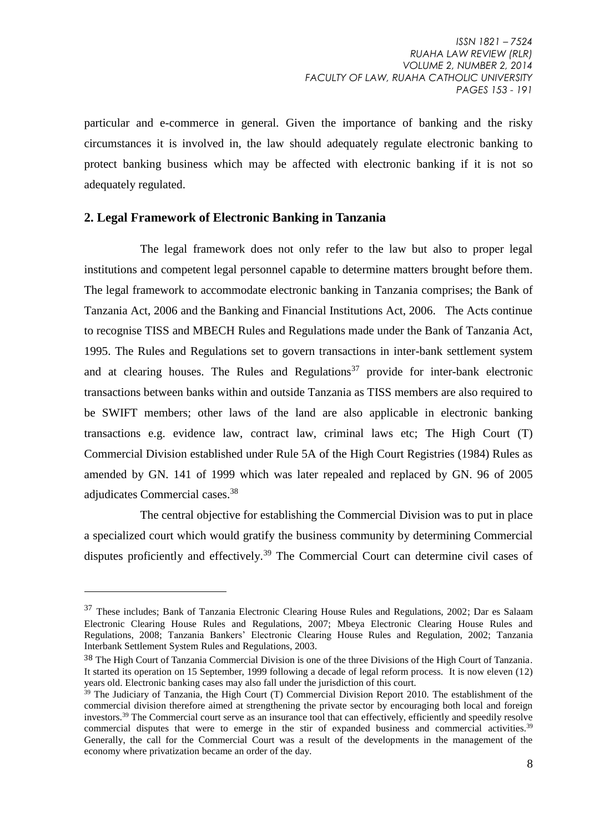particular and e-commerce in general. Given the importance of banking and the risky circumstances it is involved in, the law should adequately regulate electronic banking to protect banking business which may be affected with electronic banking if it is not so adequately regulated.

### **2. Legal Framework of Electronic Banking in Tanzania**

1

The legal framework does not only refer to the law but also to proper legal institutions and competent legal personnel capable to determine matters brought before them. The legal framework to accommodate electronic banking in Tanzania comprises; the Bank of Tanzania Act, 2006 and the Banking and Financial Institutions Act, 2006. The Acts continue to recognise TISS and MBECH Rules and Regulations made under the Bank of Tanzania Act, 1995. The Rules and Regulations set to govern transactions in inter-bank settlement system and at clearing houses. The Rules and Regulations<sup>37</sup> provide for inter-bank electronic transactions between banks within and outside Tanzania as TISS members are also required to be SWIFT members; other laws of the land are also applicable in electronic banking transactions e.g. evidence law, contract law, criminal laws etc; The High Court (T) Commercial Division established under Rule 5A of the High Court Registries (1984) Rules as amended by GN. 141 of 1999 which was later repealed and replaced by GN. 96 of 2005 adjudicates Commercial cases. 38

The central objective for establishing the Commercial Division was to put in place a specialized court which would gratify the business community by determining Commercial disputes proficiently and effectively.<sup>39</sup> The Commercial Court can determine civil cases of

<sup>&</sup>lt;sup>37</sup> These includes; Bank of Tanzania Electronic Clearing House Rules and Regulations, 2002; Dar es Salaam Electronic Clearing House Rules and Regulations, 2007; Mbeya Electronic Clearing House Rules and Regulations, 2008; Tanzania Bankers' Electronic Clearing House Rules and Regulation, 2002; Tanzania Interbank Settlement System Rules and Regulations, 2003.

<sup>38</sup> The High Court of Tanzania Commercial Division is one of the three Divisions of the High Court of Tanzania. It started its operation on 15 September, 1999 following a decade of legal reform process. It is now eleven (12) years old. Electronic banking cases may also fall under the jurisdiction of this court.

 $39$  The Judiciary of Tanzania, the High Court (T) Commercial Division Report 2010. The establishment of the commercial division therefore aimed at strengthening the private sector by encouraging both local and foreign investors.<sup>39</sup> The Commercial court serve as an insurance tool that can effectively, efficiently and speedily resolve commercial disputes that were to emerge in the stir of expanded business and commercial activities.<sup>39</sup> Generally, the call for the Commercial Court was a result of the developments in the management of the economy where privatization became an order of the day.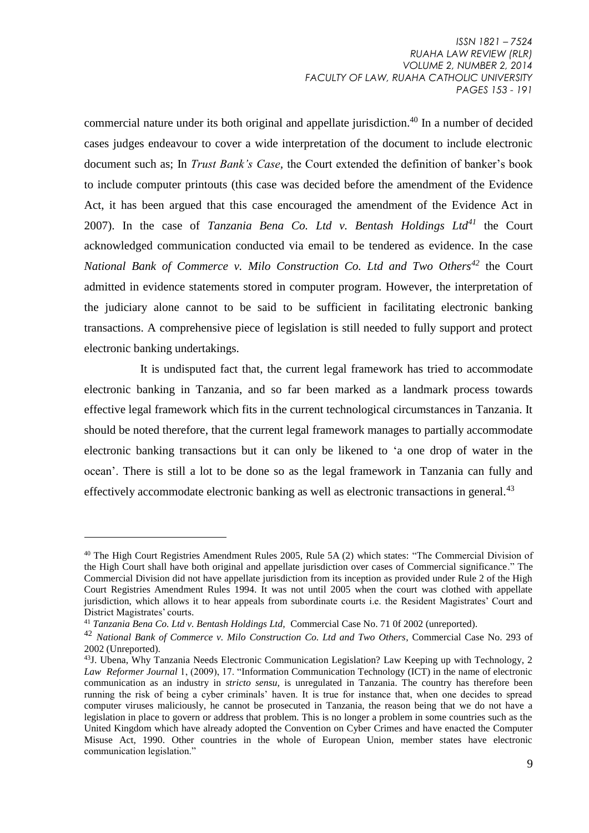commercial nature under its both original and appellate jurisdiction.<sup>40</sup> In a number of decided cases judges endeavour to cover a wide interpretation of the document to include electronic document such as; In *Trust Bank's Case,* the Court extended the definition of banker's book to include computer printouts (this case was decided before the amendment of the Evidence Act, it has been argued that this case encouraged the amendment of the Evidence Act in 2007). In the case of *Tanzania Bena Co. Ltd v. Bentash Holdings Ltd<sup>41</sup>* the Court acknowledged communication conducted via email to be tendered as evidence. In the case *National Bank of Commerce v. Milo Construction Co. Ltd and Two Others<sup>42</sup>* the Court admitted in evidence statements stored in computer program. However, the interpretation of the judiciary alone cannot to be said to be sufficient in facilitating electronic banking transactions. A comprehensive piece of legislation is still needed to fully support and protect electronic banking undertakings.

It is undisputed fact that, the current legal framework has tried to accommodate electronic banking in Tanzania, and so far been marked as a landmark process towards effective legal framework which fits in the current technological circumstances in Tanzania. It should be noted therefore, that the current legal framework manages to partially accommodate electronic banking transactions but it can only be likened to 'a one drop of water in the ocean'. There is still a lot to be done so as the legal framework in Tanzania can fully and effectively accommodate electronic banking as well as electronic transactions in general.<sup>43</sup>

<sup>&</sup>lt;sup>40</sup> The High Court Registries Amendment Rules 2005, Rule 5A (2) which states: "The Commercial Division of the High Court shall have both original and appellate jurisdiction over cases of Commercial significance." The Commercial Division did not have appellate jurisdiction from its inception as provided under Rule 2 of the High Court Registries Amendment Rules 1994. It was not until 2005 when the court was clothed with appellate jurisdiction, which allows it to hear appeals from subordinate courts i.e. the Resident Magistrates' Court and District Magistrates' courts.

<sup>41</sup> *Tanzania Bena Co. Ltd v. Bentash Holdings Ltd,* Commercial Case No. 71 0f 2002 (unreported).

<sup>42</sup> *National Bank of Commerce v. Milo Construction Co. Ltd and Two Others*, Commercial Case No. 293 of 2002 (Unreported).

<sup>43</sup>J. Ubena, Why Tanzania Needs Electronic Communication Legislation? Law Keeping up with Technology, 2 *Law Reformer Journal* 1, (2009), 17. "Information Communication Technology (ICT) in the name of electronic communication as an industry in *stricto sensu,* is unregulated in Tanzania. The country has therefore been running the risk of being a cyber criminals' haven. It is true for instance that, when one decides to spread computer viruses maliciously, he cannot be prosecuted in Tanzania, the reason being that we do not have a legislation in place to govern or address that problem. This is no longer a problem in some countries such as the United Kingdom which have already adopted the Convention on Cyber Crimes and have enacted the Computer Misuse Act, 1990. Other countries in the whole of European Union, member states have electronic communication legislation."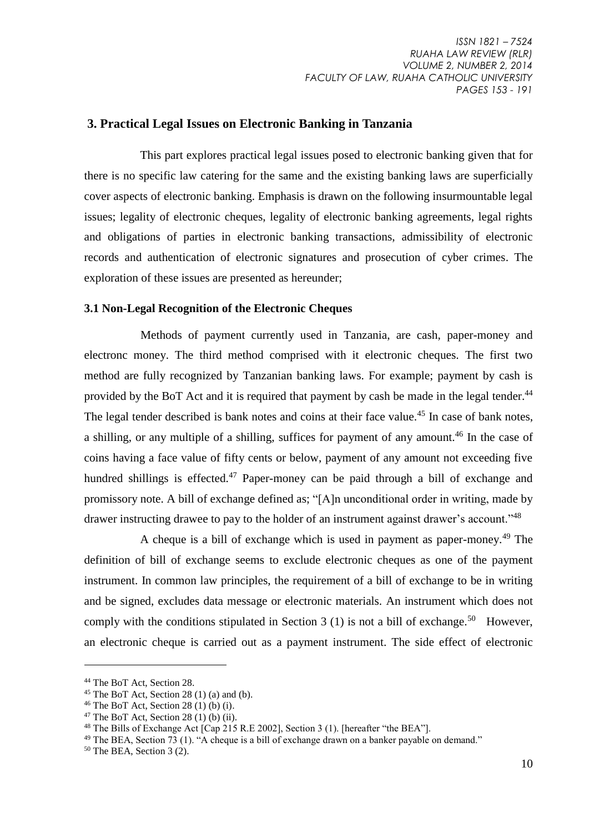#### **3. Practical Legal Issues on Electronic Banking in Tanzania**

This part explores practical legal issues posed to electronic banking given that for there is no specific law catering for the same and the existing banking laws are superficially cover aspects of electronic banking. Emphasis is drawn on the following insurmountable legal issues; legality of electronic cheques, legality of electronic banking agreements, legal rights and obligations of parties in electronic banking transactions, admissibility of electronic records and authentication of electronic signatures and prosecution of cyber crimes. The exploration of these issues are presented as hereunder;

#### **3.1 Non-Legal Recognition of the Electronic Cheques**

 Methods of payment currently used in Tanzania, are cash, paper-money and electronc money. The third method comprised with it electronic cheques. The first two method are fully recognized by Tanzanian banking laws. For example; payment by cash is provided by the BoT Act and it is required that payment by cash be made in the legal tender.<sup>44</sup> The legal tender described is bank notes and coins at their face value.<sup>45</sup> In case of bank notes, a shilling, or any multiple of a shilling, suffices for payment of any amount.<sup>46</sup> In the case of coins having a face value of fifty cents or below, payment of any amount not exceeding five hundred shillings is effected.<sup>47</sup> Paper-money can be paid through a bill of exchange and promissory note. A bill of exchange defined as; "[A]n unconditional order in writing, made by drawer instructing drawee to pay to the holder of an instrument against drawer's account."<sup>48</sup>

A cheque is a bill of exchange which is used in payment as paper-money.<sup>49</sup> The definition of bill of exchange seems to exclude electronic cheques as one of the payment instrument. In common law principles, the requirement of a bill of exchange to be in writing and be signed, excludes data message or electronic materials. An instrument which does not comply with the conditions stipulated in Section 3 (1) is not a bill of exchange.<sup>50</sup> However, an electronic cheque is carried out as a payment instrument. The side effect of electronic

<sup>44</sup> The BoT Act, Section 28.

 $45$  The BoT Act, Section 28 (1) (a) and (b).

 $46$  The BoT Act, Section 28 (1) (b) (i).

 $47$  The BoT Act, Section 28 (1) (b) (ii).

<sup>48</sup> The Bills of Exchange Act [Cap 215 R.E 2002], Section 3 (1). [hereafter "the BEA"].

<sup>&</sup>lt;sup>49</sup> The BEA, Section 73 (1). "A cheque is a bill of exchange drawn on a banker payable on demand."

 $50$  The BEA, Section 3 (2).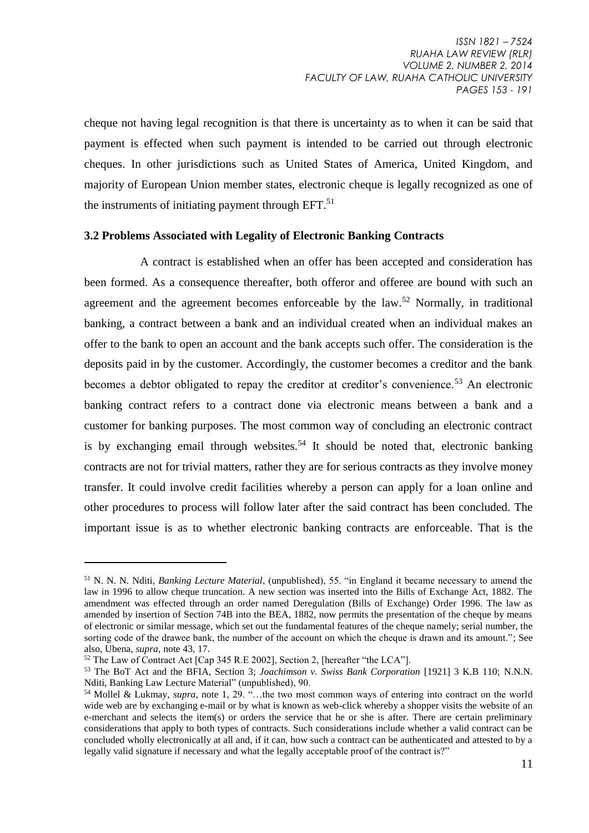cheque not having legal recognition is that there is uncertainty as to when it can be said that payment is effected when such payment is intended to be carried out through electronic cheques. In other jurisdictions such as United States of America, United Kingdom, and majority of European Union member states, electronic cheque is legally recognized as one of the instruments of initiating payment through  $EFT$ .<sup>51</sup>

#### **3.2 Problems Associated with Legality of Electronic Banking Contracts**

A contract is established when an offer has been accepted and consideration has been formed. As a consequence thereafter, both offeror and offeree are bound with such an agreement and the agreement becomes enforceable by the law.<sup>52</sup> Normally, in traditional banking, a contract between a bank and an individual created when an individual makes an offer to the bank to open an account and the bank accepts such offer. The consideration is the deposits paid in by the customer. Accordingly, the customer becomes a creditor and the bank becomes a debtor obligated to repay the creditor at creditor's convenience.<sup>53</sup> An electronic banking contract refers to a contract done via electronic means between a bank and a customer for banking purposes. The most common way of concluding an electronic contract is by exchanging email through websites.<sup>54</sup> It should be noted that, electronic banking contracts are not for trivial matters, rather they are for serious contracts as they involve money transfer. It could involve credit facilities whereby a person can apply for a loan online and other procedures to process will follow later after the said contract has been concluded. The important issue is as to whether electronic banking contracts are enforceable. That is the

<sup>51</sup> N. N. N. Nditi, *Banking Lecture Material*, (unpublished), 55. "in England it became necessary to amend the law in 1996 to allow cheque truncation. A new section was inserted into the Bills of Exchange Act, 1882. The amendment was effected through an order named Deregulation (Bills of Exchange) Order 1996. The law as amended by insertion of Section 74B into the BEA, 1882, now permits the presentation of the cheque by means of electronic or similar message, which set out the fundamental features of the cheque namely; serial number, the sorting code of the drawee bank, the number of the account on which the cheque is drawn and its amount."; See also, Ubena, *supra,* note 43, 17.

<sup>&</sup>lt;sup>52</sup> The Law of Contract Act [Cap 345 R.E 2002], Section 2, [hereafter "the LCA"].

<sup>53</sup> The BoT Act and the BFIA, Section 3; *Joachimson v. Swiss Bank Corporation* [1921] 3 K.B 110; N.N.N. Nditi, Banking Law Lecture Material" (unpublished), 90.

<sup>54</sup> Mollel & Lukmay, *supra,* note 1, 29. "…the two most common ways of entering into contract on the world wide web are by exchanging e-mail or by what is known as web-click whereby a shopper visits the website of an e-merchant and selects the item(s) or orders the service that he or she is after. There are certain preliminary considerations that apply to both types of contracts. Such considerations include whether a valid contract can be concluded wholly electronically at all and, if it can, how such a contract can be authenticated and attested to by a legally valid signature if necessary and what the legally acceptable proof of the contract is?"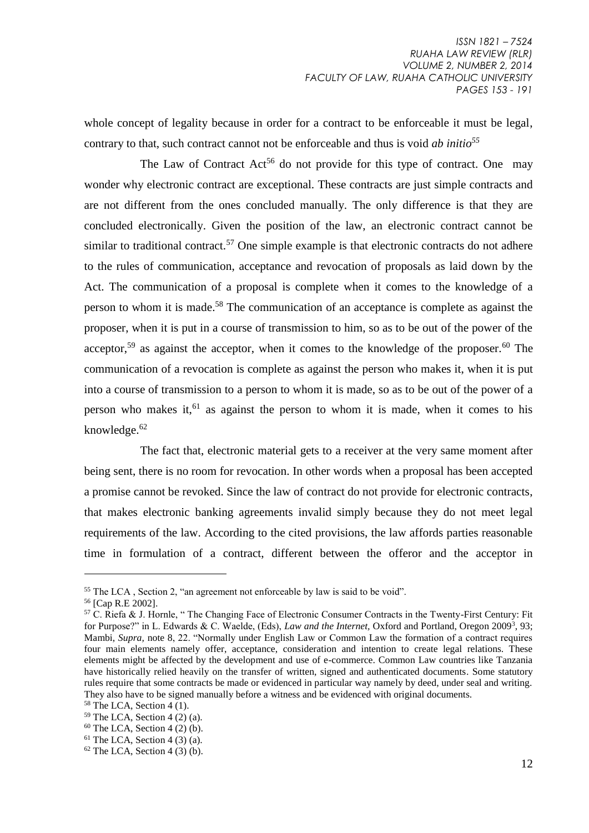whole concept of legality because in order for a contract to be enforceable it must be legal, contrary to that, such contract cannot not be enforceable and thus is void *ab initio<sup>55</sup>*

The Law of Contract  $\text{Act}^{56}$  do not provide for this type of contract. One may wonder why electronic contract are exceptional. These contracts are just simple contracts and are not different from the ones concluded manually. The only difference is that they are concluded electronically. Given the position of the law, an electronic contract cannot be similar to traditional contract.<sup>57</sup> One simple example is that electronic contracts do not adhere to the rules of communication, acceptance and revocation of proposals as laid down by the Act. The communication of a proposal is complete when it comes to the knowledge of a person to whom it is made.<sup>58</sup> The communication of an acceptance is complete as against the proposer, when it is put in a course of transmission to him, so as to be out of the power of the acceptor,<sup>59</sup> as against the acceptor, when it comes to the knowledge of the proposer.<sup>60</sup> The communication of a revocation is complete as against the person who makes it, when it is put into a course of transmission to a person to whom it is made, so as to be out of the power of a person who makes it,  $61$  as against the person to whom it is made, when it comes to his knowledge. $62$ 

The fact that, electronic material gets to a receiver at the very same moment after being sent, there is no room for revocation. In other words when a proposal has been accepted a promise cannot be revoked. Since the law of contract do not provide for electronic contracts, that makes electronic banking agreements invalid simply because they do not meet legal requirements of the law. According to the cited provisions, the law affords parties reasonable time in formulation of a contract, different between the offeror and the acceptor in

<sup>55</sup> The LCA , Section 2, "an agreement not enforceable by law is said to be void".

<sup>56</sup> [Cap R.E 2002].

 $57$  C. Riefa & J. Hornle, " The Changing Face of Electronic Consumer Contracts in the Twenty-First Century: Fit for Purpose?" in L. Edwards & C. Waelde, (Eds), *Law and the Internet*, Oxford and Portland, Oregon 2009<sup>3</sup>, 93; Mambi, *Supra,* note 8, 22. "Normally under English Law or Common Law the formation of a contract requires four main elements namely offer, acceptance, consideration and intention to create legal relations. These elements might be affected by the development and use of e-commerce. Common Law countries like Tanzania have historically relied heavily on the transfer of written, signed and authenticated documents. Some statutory rules require that some contracts be made or evidenced in particular way namely by deed, under seal and writing. They also have to be signed manually before a witness and be evidenced with original documents.

<sup>&</sup>lt;sup>58</sup> The LCA, Section 4 (1).

 $59$  The LCA, Section 4 (2) (a).

 $60$  The LCA, Section 4 (2) (b).

 $61$  The LCA, Section 4 (3) (a).

 $62$  The LCA, Section 4 (3) (b).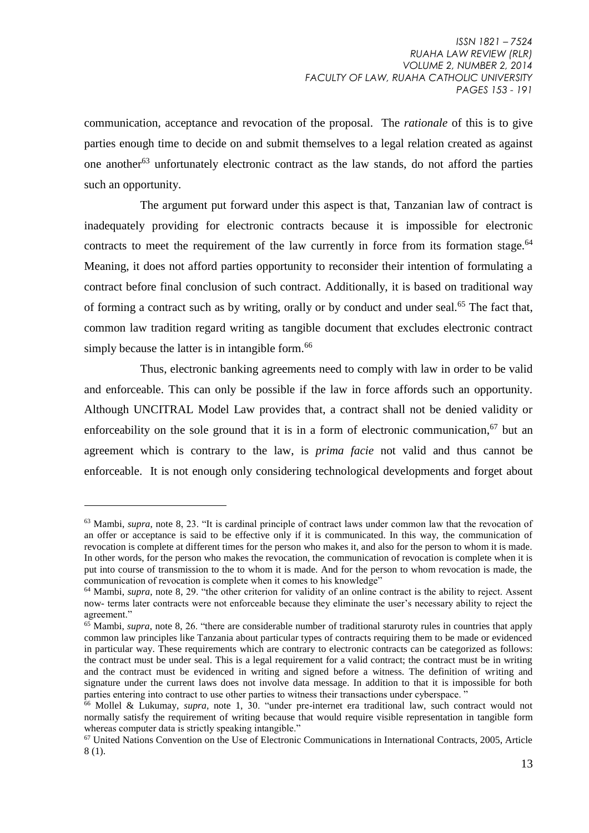communication, acceptance and revocation of the proposal. The *rationale* of this is to give parties enough time to decide on and submit themselves to a legal relation created as against one another<sup>63</sup> unfortunately electronic contract as the law stands, do not afford the parties such an opportunity.

The argument put forward under this aspect is that, Tanzanian law of contract is inadequately providing for electronic contracts because it is impossible for electronic contracts to meet the requirement of the law currently in force from its formation stage. $64$ Meaning, it does not afford parties opportunity to reconsider their intention of formulating a contract before final conclusion of such contract. Additionally, it is based on traditional way of forming a contract such as by writing, orally or by conduct and under seal.<sup>65</sup> The fact that. common law tradition regard writing as tangible document that excludes electronic contract simply because the latter is in intangible form.<sup>66</sup>

Thus, electronic banking agreements need to comply with law in order to be valid and enforceable. This can only be possible if the law in force affords such an opportunity. Although UNCITRAL Model Law provides that, a contract shall not be denied validity or enforceability on the sole ground that it is in a form of electronic communication.<sup>67</sup> but an agreement which is contrary to the law, is *prima facie* not valid and thus cannot be enforceable. It is not enough only considering technological developments and forget about

<sup>&</sup>lt;sup>63</sup> Mambi, *supra*, note 8, 23. "It is cardinal principle of contract laws under common law that the revocation of an offer or acceptance is said to be effective only if it is communicated. In this way, the communication of revocation is complete at different times for the person who makes it, and also for the person to whom it is made. In other words, for the person who makes the revocation, the communication of revocation is complete when it is put into course of transmission to the to whom it is made. And for the person to whom revocation is made, the communication of revocation is complete when it comes to his knowledge"

<sup>64</sup> Mambi, *supra*, note 8, 29. "the other criterion for validity of an online contract is the ability to reject. Assent now- terms later contracts were not enforceable because they eliminate the user's necessary ability to reject the agreement"

<sup>&</sup>lt;sup>65</sup> Mambi, *supra*, note 8, 26. "there are considerable number of traditional staruroty rules in countries that apply common law principles like Tanzania about particular types of contracts requiring them to be made or evidenced in particular way. These requirements which are contrary to electronic contracts can be categorized as follows: the contract must be under seal. This is a legal requirement for a valid contract; the contract must be in writing and the contract must be evidenced in writing and signed before a witness. The definition of writing and signature under the current laws does not involve data message. In addition to that it is impossible for both parties entering into contract to use other parties to witness their transactions under cyberspace. "

<sup>66</sup> Mollel & Lukumay, *supra,* note 1, 30. "under pre-internet era traditional law, such contract would not normally satisfy the requirement of writing because that would require visible representation in tangible form whereas computer data is strictly speaking intangible."

<sup>67</sup> United Nations Convention on the Use of Electronic Communications in International Contracts, 2005, Article 8 (1).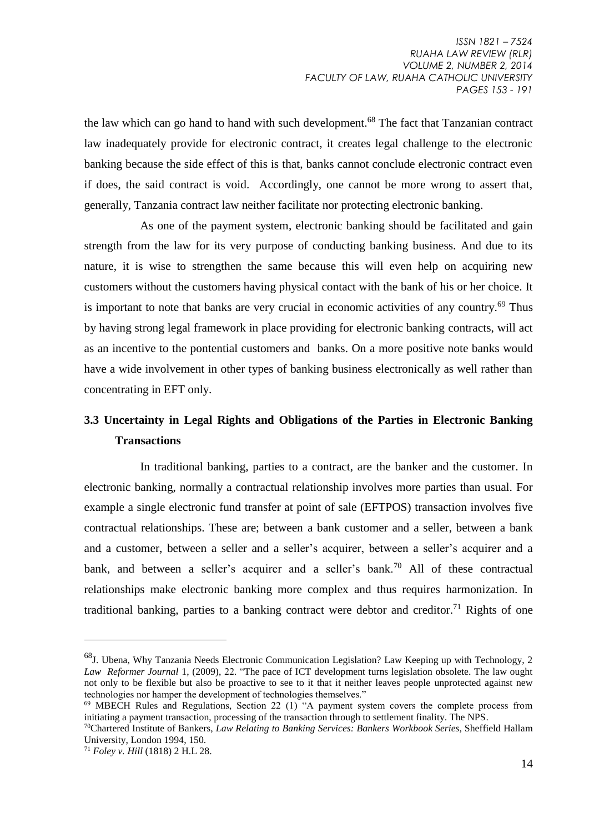the law which can go hand to hand with such development.<sup>68</sup> The fact that Tanzanian contract law inadequately provide for electronic contract, it creates legal challenge to the electronic banking because the side effect of this is that, banks cannot conclude electronic contract even if does, the said contract is void. Accordingly, one cannot be more wrong to assert that, generally, Tanzania contract law neither facilitate nor protecting electronic banking.

As one of the payment system, electronic banking should be facilitated and gain strength from the law for its very purpose of conducting banking business. And due to its nature, it is wise to strengthen the same because this will even help on acquiring new customers without the customers having physical contact with the bank of his or her choice. It is important to note that banks are very crucial in economic activities of any country.<sup>69</sup> Thus by having strong legal framework in place providing for electronic banking contracts, will act as an incentive to the pontential customers and banks. On a more positive note banks would have a wide involvement in other types of banking business electronically as well rather than concentrating in EFT only.

## **3.3 Uncertainty in Legal Rights and Obligations of the Parties in Electronic Banking Transactions**

In traditional banking, parties to a contract, are the banker and the customer. In electronic banking, normally a contractual relationship involves more parties than usual. For example a single electronic fund transfer at point of sale (EFTPOS) transaction involves five contractual relationships. These are; between a bank customer and a seller, between a bank and a customer, between a seller and a seller's acquirer, between a seller's acquirer and a bank, and between a seller's acquirer and a seller's bank.<sup>70</sup> All of these contractual relationships make electronic banking more complex and thus requires harmonization. In traditional banking, parties to a banking contract were debtor and creditor.<sup>71</sup> Rights of one

<sup>68</sup>J. Ubena, Why Tanzania Needs Electronic Communication Legislation? Law Keeping up with Technology, 2 *Law Reformer Journal* 1, (2009), 22. "The pace of ICT development turns legislation obsolete. The law ought not only to be flexible but also be proactive to see to it that it neither leaves people unprotected against new technologies nor hamper the development of technologies themselves."

<sup>&</sup>lt;sup>69</sup> MBECH Rules and Regulations, Section 22 (1) "A payment system covers the complete process from initiating a payment transaction, processing of the transaction through to settlement finality. The NPS.

<sup>70</sup>Chartered Institute of Bankers, *Law Relating to Banking Services: Bankers Workbook Series,* Sheffield Hallam University, London 1994, 150.

<sup>71</sup> *Foley v. Hill* (1818) 2 H.L 28.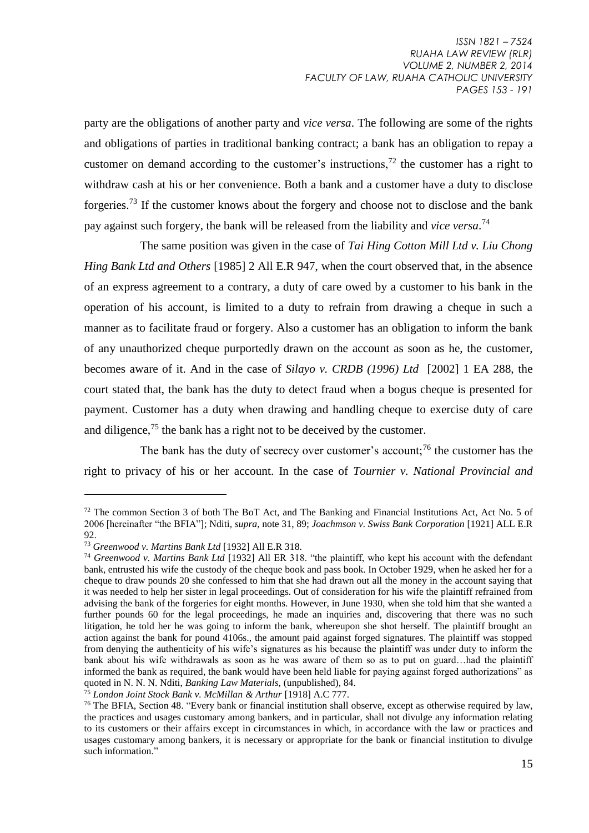party are the obligations of another party and *vice versa*. The following are some of the rights and obligations of parties in traditional banking contract; a bank has an obligation to repay a customer on demand according to the customer's instructions.<sup>72</sup> the customer has a right to withdraw cash at his or her convenience. Both a bank and a customer have a duty to disclose forgeries.<sup>73</sup> If the customer knows about the forgery and choose not to disclose and the bank pay against such forgery, the bank will be released from the liability and *vice versa*. 74

The same position was given in the case of *Tai Hing Cotton Mill Ltd v. Liu Chong Hing Bank Ltd and Others* [1985] 2 All E.R 947, when the court observed that, in the absence of an express agreement to a contrary, a duty of care owed by a customer to his bank in the operation of his account, is limited to a duty to refrain from drawing a cheque in such a manner as to facilitate fraud or forgery. Also a customer has an obligation to inform the bank of any unauthorized cheque purportedly drawn on the account as soon as he, the customer, becomes aware of it. And in the case of *Silayo v. CRDB (1996) Ltd* [2002] 1 EA 288, the court stated that, the bank has the duty to detect fraud when a bogus cheque is presented for payment. Customer has a duty when drawing and handling cheque to exercise duty of care and diligence,  $^{75}$  the bank has a right not to be deceived by the customer.

The bank has the duty of secrecy over customer's account;<sup>76</sup> the customer has the right to privacy of his or her account. In the case of *Tournier v. National Provincial and* 

<sup>72</sup> The common Section 3 of both The BoT Act, and The Banking and Financial Institutions Act, Act No. 5 of 2006 [hereinafter "the BFIA"]; Nditi, *supra*, note 31, 89; *Joachmson v. Swiss Bank Corporation* [1921] ALL E.R 92.

<sup>73</sup> *Greenwood v. Martins Bank Ltd* [1932] All E.R 318.

<sup>74</sup> *Greenwood v. Martins Bank Ltd* [1932] All ER 318. "the plaintiff, who kept his account with the defendant bank, entrusted his wife the custody of the cheque book and pass book. In October 1929, when he asked her for a cheque to draw pounds 20 she confessed to him that she had drawn out all the money in the account saying that it was needed to help her sister in legal proceedings. Out of consideration for his wife the plaintiff refrained from advising the bank of the forgeries for eight months. However, in June 1930, when she told him that she wanted a further pounds 60 for the legal proceedings, he made an inquiries and, discovering that there was no such litigation, he told her he was going to inform the bank, whereupon she shot herself. The plaintiff brought an action against the bank for pound 4106s., the amount paid against forged signatures. The plaintiff was stopped from denying the authenticity of his wife's signatures as his because the plaintiff was under duty to inform the bank about his wife withdrawals as soon as he was aware of them so as to put on guard…had the plaintiff informed the bank as required, the bank would have been held liable for paying against forged authorizations" as quoted in N. N. N. Nditi, *Banking Law Materials,* (unpublished), 84.

<sup>75</sup> *London Joint Stock Bank v. McMillan & Arthur* [1918] A.C 777.

<sup>&</sup>lt;sup>76</sup> The BFIA, Section 48. "Every bank or financial institution shall observe, except as otherwise required by law, the practices and usages customary among bankers, and in particular, shall not divulge any information relating to its customers or their affairs except in circumstances in which, in accordance with the law or practices and usages customary among bankers, it is necessary or appropriate for the bank or financial institution to divulge such information."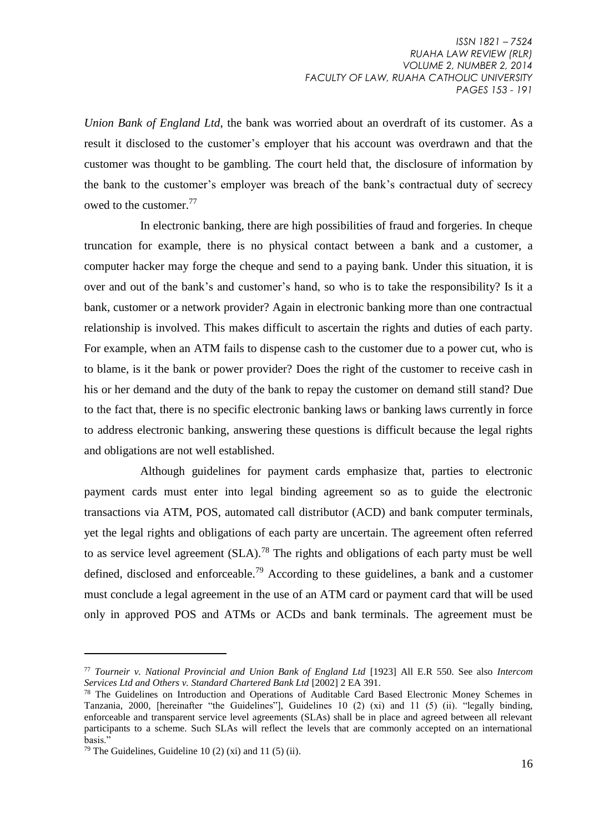*Union Bank of England Ltd*, the bank was worried about an overdraft of its customer. As a result it disclosed to the customer's employer that his account was overdrawn and that the customer was thought to be gambling. The court held that, the disclosure of information by the bank to the customer's employer was breach of the bank's contractual duty of secrecy owed to the customer.<sup>77</sup>

In electronic banking, there are high possibilities of fraud and forgeries. In cheque truncation for example, there is no physical contact between a bank and a customer, a computer hacker may forge the cheque and send to a paying bank. Under this situation, it is over and out of the bank's and customer's hand, so who is to take the responsibility? Is it a bank, customer or a network provider? Again in electronic banking more than one contractual relationship is involved. This makes difficult to ascertain the rights and duties of each party. For example, when an ATM fails to dispense cash to the customer due to a power cut, who is to blame, is it the bank or power provider? Does the right of the customer to receive cash in his or her demand and the duty of the bank to repay the customer on demand still stand? Due to the fact that, there is no specific electronic banking laws or banking laws currently in force to address electronic banking, answering these questions is difficult because the legal rights and obligations are not well established.

Although guidelines for payment cards emphasize that, parties to electronic payment cards must enter into legal binding agreement so as to guide the electronic transactions via ATM, POS, automated call distributor (ACD) and bank computer terminals, yet the legal rights and obligations of each party are uncertain. The agreement often referred to as service level agreement  $(SLA)$ .<sup>78</sup> The rights and obligations of each party must be well defined, disclosed and enforceable.<sup>79</sup> According to these guidelines, a bank and a customer must conclude a legal agreement in the use of an ATM card or payment card that will be used only in approved POS and ATMs or ACDs and bank terminals. The agreement must be

<sup>77</sup> *Tourneir v. National Provincial and Union Bank of England Ltd* [1923] All E.R 550. See also *Intercom Services Ltd and Others v. Standard Chartered Bank Ltd* [2002] 2 EA 391.

<sup>&</sup>lt;sup>78</sup> The Guidelines on Introduction and Operations of Auditable Card Based Electronic Money Schemes in Tanzania, 2000*,* [hereinafter "the Guidelines"], Guidelines 10 (2) (xi) and 11 (5) (ii). "legally binding, enforceable and transparent service level agreements (SLAs) shall be in place and agreed between all relevant participants to a scheme. Such SLAs will reflect the levels that are commonly accepted on an international basis."

<sup>&</sup>lt;sup>79</sup> The Guidelines, Guideline 10 (2) (xi) and 11 (5) (ii).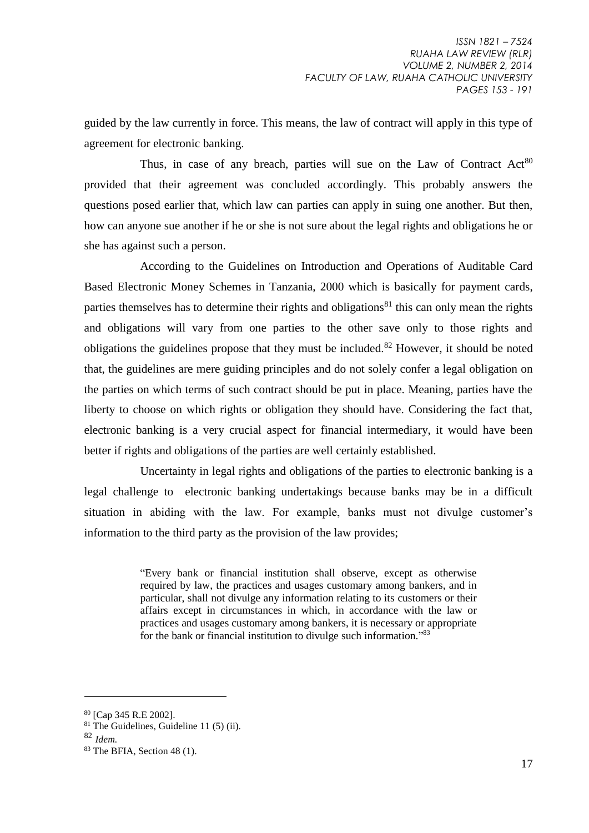guided by the law currently in force. This means, the law of contract will apply in this type of agreement for electronic banking.

Thus, in case of any breach, parties will sue on the Law of Contract  $Act^{80}$ provided that their agreement was concluded accordingly. This probably answers the questions posed earlier that, which law can parties can apply in suing one another. But then, how can anyone sue another if he or she is not sure about the legal rights and obligations he or she has against such a person.

According to the Guidelines on Introduction and Operations of Auditable Card Based Electronic Money Schemes in Tanzania, 2000 which is basically for payment cards, parties themselves has to determine their rights and obligations<sup>81</sup> this can only mean the rights and obligations will vary from one parties to the other save only to those rights and obligations the guidelines propose that they must be included.<sup>82</sup> However, it should be noted that, the guidelines are mere guiding principles and do not solely confer a legal obligation on the parties on which terms of such contract should be put in place. Meaning, parties have the liberty to choose on which rights or obligation they should have. Considering the fact that, electronic banking is a very crucial aspect for financial intermediary, it would have been better if rights and obligations of the parties are well certainly established.

Uncertainty in legal rights and obligations of the parties to electronic banking is a legal challenge to electronic banking undertakings because banks may be in a difficult situation in abiding with the law. For example, banks must not divulge customer's information to the third party as the provision of the law provides;

> "Every bank or financial institution shall observe, except as otherwise required by law, the practices and usages customary among bankers, and in particular, shall not divulge any information relating to its customers or their affairs except in circumstances in which, in accordance with the law or practices and usages customary among bankers, it is necessary or appropriate for the bank or financial institution to divulge such information."<sup>83</sup>

<sup>80</sup> [Cap 345 R.E 2002].

<sup>81</sup> The Guidelines, Guideline 11 (5) (ii).

<sup>82</sup> *Idem.*

<sup>83</sup> The BFIA, Section 48 (1).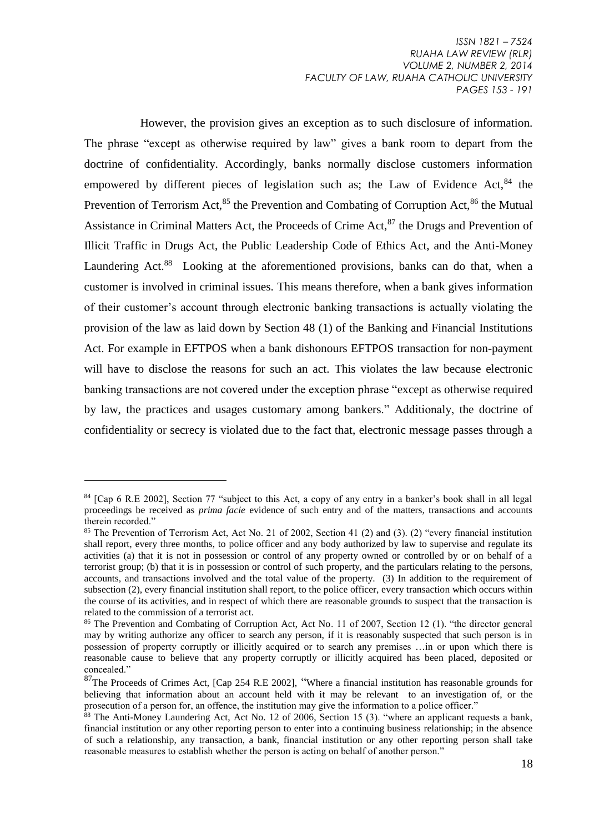However, the provision gives an exception as to such disclosure of information. The phrase "except as otherwise required by law" gives a bank room to depart from the doctrine of confidentiality. Accordingly, banks normally disclose customers information empowered by different pieces of legislation such as; the Law of Evidence Act.<sup>84</sup> the Prevention of Terrorism Act.<sup>85</sup> the Prevention and Combating of Corruption Act.<sup>86</sup> the Mutual Assistance in Criminal Matters Act, the Proceeds of Crime Act,<sup>87</sup> the Drugs and Prevention of Illicit Traffic in Drugs Act, the Public Leadership Code of Ethics Act, and the Anti-Money Laundering Act.<sup>88</sup> Looking at the aforementioned provisions, banks can do that, when a customer is involved in criminal issues. This means therefore, when a bank gives information of their customer's account through electronic banking transactions is actually violating the provision of the law as laid down by Section 48 (1) of the Banking and Financial Institutions Act. For example in EFTPOS when a bank dishonours EFTPOS transaction for non-payment will have to disclose the reasons for such an act. This violates the law because electronic banking transactions are not covered under the exception phrase "except as otherwise required by law, the practices and usages customary among bankers." Additionaly, the doctrine of confidentiality or secrecy is violated due to the fact that, electronic message passes through a

<sup>&</sup>lt;sup>84</sup> [Cap 6 R.E 2002], Section 77 "subject to this Act, a copy of any entry in a banker's book shall in all legal proceedings be received as *prima facie* evidence of such entry and of the matters, transactions and accounts therein recorded."

<sup>85</sup> The Prevention of Terrorism Act, Act No. 21 of 2002, Section 41 (2) and (3). (2) "every financial institution shall report, every three months, to police officer and any body authorized by law to supervise and regulate its activities (a) that it is not in possession or control of any property owned or controlled by or on behalf of a terrorist group; (b) that it is in possession or control of such property, and the particulars relating to the persons, accounts, and transactions involved and the total value of the property. (3) In addition to the requirement of subsection (2), every financial institution shall report, to the police officer, every transaction which occurs within the course of its activities, and in respect of which there are reasonable grounds to suspect that the transaction is related to the commission of a terrorist act.

<sup>86</sup> The Prevention and Combating of Corruption Act, Act No. 11 of 2007, Section 12 (1). "the director general may by writing authorize any officer to search any person, if it is reasonably suspected that such person is in possession of property corruptly or illicitly acquired or to search any premises …in or upon which there is reasonable cause to believe that any property corruptly or illicitly acquired has been placed, deposited or concealed."

<sup>87</sup>The Proceeds of Crimes Act, [Cap 254 R.E 2002], "Where a financial institution has reasonable grounds for believing that information about an account held with it may be relevant to an investigation of, or the prosecution of a person for, an offence, the institution may give the information to a police officer."

 $88$  The Anti-Money Laundering Act, Act No. 12 of 2006, Section 15 (3). "where an applicant requests a bank, financial institution or any other reporting person to enter into a continuing business relationship; in the absence of such a relationship, any transaction, a bank, financial institution or any other reporting person shall take reasonable measures to establish whether the person is acting on behalf of another person."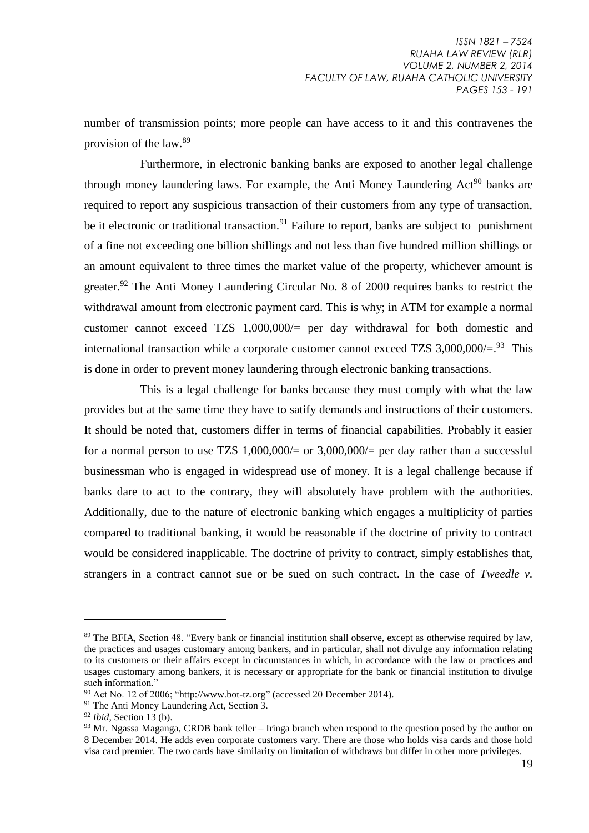number of transmission points; more people can have access to it and this contravenes the provision of the law.<sup>89</sup>

Furthermore, in electronic banking banks are exposed to another legal challenge through money laundering laws. For example, the Anti Money Laundering  $Act^{90}$  banks are required to report any suspicious transaction of their customers from any type of transaction, be it electronic or traditional transaction.<sup>91</sup> Failure to report, banks are subject to punishment of a fine not exceeding one billion shillings and not less than five hundred million shillings or an amount equivalent to three times the market value of the property, whichever amount is greater.<sup>92</sup> The Anti Money Laundering Circular No. 8 of 2000 requires banks to restrict the withdrawal amount from electronic payment card. This is why; in ATM for example a normal customer cannot exceed TZS 1,000,000/= per day withdrawal for both domestic and international transaction while a corporate customer cannot exceed TZS  $3,000,000/=$ <sup>93</sup> This is done in order to prevent money laundering through electronic banking transactions.

This is a legal challenge for banks because they must comply with what the law provides but at the same time they have to satify demands and instructions of their customers. It should be noted that, customers differ in terms of financial capabilities. Probably it easier for a normal person to use TZS  $1,000,000/=$  or  $3,000,000/=$  per day rather than a successful businessman who is engaged in widespread use of money. It is a legal challenge because if banks dare to act to the contrary, they will absolutely have problem with the authorities. Additionally, due to the nature of electronic banking which engages a multiplicity of parties compared to traditional banking, it would be reasonable if the doctrine of privity to contract would be considered inapplicable. The doctrine of privity to contract, simply establishes that, strangers in a contract cannot sue or be sued on such contract. In the case of *Tweedle v.* 

<sup>89</sup> The BFIA, Section 48. "Every bank or financial institution shall observe, except as otherwise required by law, the practices and usages customary among bankers, and in particular, shall not divulge any information relating to its customers or their affairs except in circumstances in which, in accordance with the law or practices and usages customary among bankers, it is necessary or appropriate for the bank or financial institution to divulge such information."

<sup>90</sup> Act No. 12 of 2006; ["http://www.bot-tz.org"](http://www.bot-tz.org/) (accessed 20 December 2014).

<sup>&</sup>lt;sup>91</sup> The Anti Money Laundering Act, Section 3.

<sup>92</sup> *Ibid,* Section 13 (b).

<sup>&</sup>lt;sup>93</sup> Mr. Ngassa Maganga, CRDB bank teller – Iringa branch when respond to the question posed by the author on 8 December 2014. He adds even corporate customers vary. There are those who holds visa cards and those hold visa card premier. The two cards have similarity on limitation of withdraws but differ in other more privileges.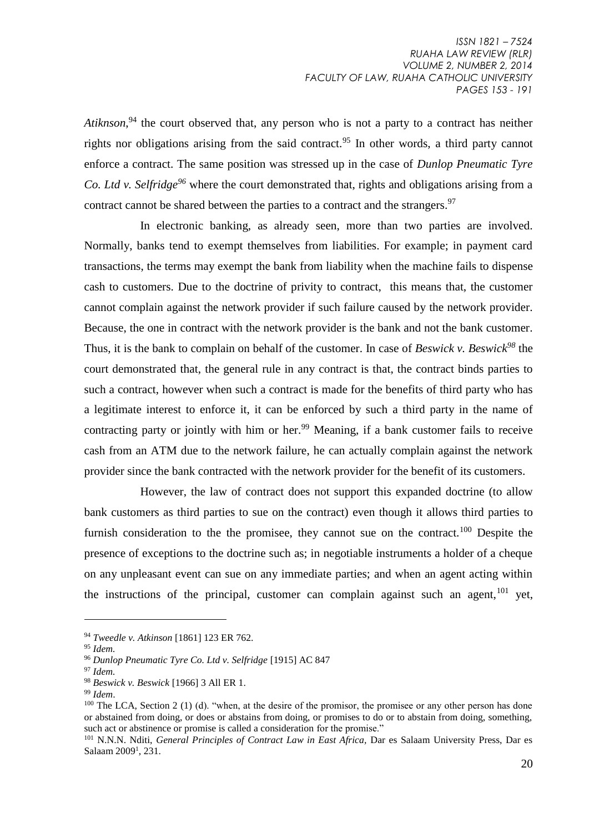Atiknson,<sup>94</sup> the court observed that, any person who is not a party to a contract has neither rights nor obligations arising from the said contract.<sup>95</sup> In other words, a third party cannot enforce a contract. The same position was stressed up in the case of *Dunlop Pneumatic Tyre Co. Ltd v. Selfridge<sup>96</sup>* where the court demonstrated that, rights and obligations arising from a contract cannot be shared between the parties to a contract and the strangers.<sup>97</sup>

In electronic banking, as already seen, more than two parties are involved. Normally, banks tend to exempt themselves from liabilities. For example; in payment card transactions, the terms may exempt the bank from liability when the machine fails to dispense cash to customers. Due to the doctrine of privity to contract, this means that, the customer cannot complain against the network provider if such failure caused by the network provider. Because, the one in contract with the network provider is the bank and not the bank customer. Thus, it is the bank to complain on behalf of the customer. In case of *Beswick v. Beswick<sup>98</sup>* the court demonstrated that, the general rule in any contract is that, the contract binds parties to such a contract, however when such a contract is made for the benefits of third party who has a legitimate interest to enforce it, it can be enforced by such a third party in the name of contracting party or jointly with him or her.<sup>99</sup> Meaning, if a bank customer fails to receive cash from an ATM due to the network failure, he can actually complain against the network provider since the bank contracted with the network provider for the benefit of its customers.

However, the law of contract does not support this expanded doctrine (to allow bank customers as third parties to sue on the contract) even though it allows third parties to furnish consideration to the the promisee, they cannot sue on the contract.<sup>100</sup> Despite the presence of exceptions to the doctrine such as; in negotiable instruments a holder of a cheque on any unpleasant event can sue on any immediate parties; and when an agent acting within the instructions of the principal, customer can complain against such an agent.<sup>101</sup> vet,

<sup>94</sup> *Tweedle v. Atkinson* [1861] 123 ER 762.

<sup>95</sup> *Idem.*

<sup>96</sup> *Dunlop Pneumatic Tyre Co. Ltd v. Selfridge* [1915] AC 847

<sup>97</sup> *Idem.*

<sup>98</sup> *Beswick v. Beswick* [1966] 3 All ER 1.

<sup>99</sup> *Idem*.

<sup>&</sup>lt;sup>100</sup> The LCA, Section 2 (1) (d). "when, at the desire of the promisor, the promisee or any other person has done or abstained from doing, or does or abstains from doing, or promises to do or to abstain from doing, something, such act or abstinence or promise is called a consideration for the promise."

<sup>101</sup> N.N.N. Nditi, *General Principles of Contract Law in East Africa,* Dar es Salaam University Press, Dar es Salaam 2009<sup>1</sup>, 231.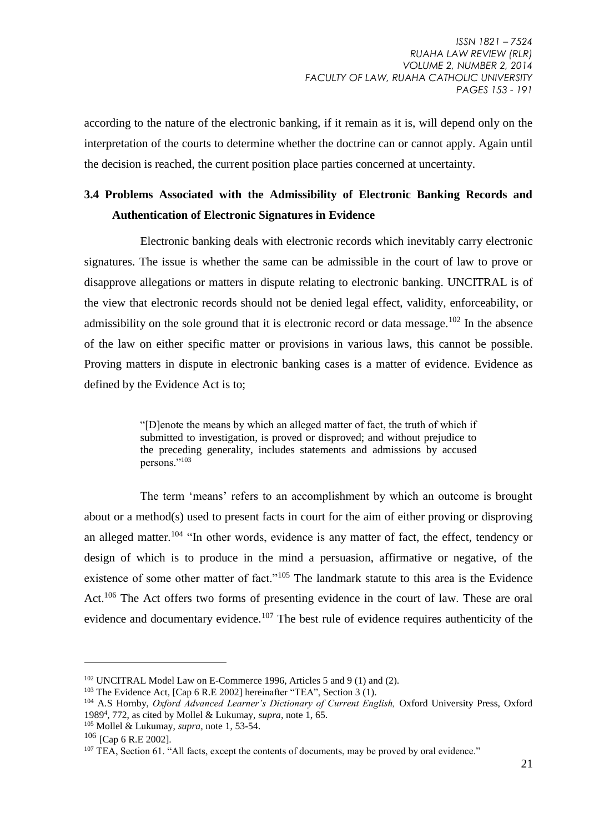according to the nature of the electronic banking, if it remain as it is, will depend only on the interpretation of the courts to determine whether the doctrine can or cannot apply. Again until the decision is reached, the current position place parties concerned at uncertainty.

### **3.4 Problems Associated with the Admissibility of Electronic Banking Records and Authentication of Electronic Signatures in Evidence**

Electronic banking deals with electronic records which inevitably carry electronic signatures. The issue is whether the same can be admissible in the court of law to prove or disapprove allegations or matters in dispute relating to electronic banking. UNCITRAL is of the view that electronic records should not be denied legal effect, validity, enforceability, or admissibility on the sole ground that it is electronic record or data message.<sup>102</sup> In the absence of the law on either specific matter or provisions in various laws, this cannot be possible. Proving matters in dispute in electronic banking cases is a matter of evidence. Evidence as defined by the Evidence Act is to;

> "[D]enote the means by which an alleged matter of fact, the truth of which if submitted to investigation, is proved or disproved; and without prejudice to the preceding generality, includes statements and admissions by accused persons."<sup>103</sup>

The term 'means' refers to an accomplishment by which an outcome is brought about or a method(s) used to present facts in court for the aim of either proving or disproving an alleged matter.<sup>104</sup> "In other words, evidence is any matter of fact, the effect, tendency or design of which is to produce in the mind a persuasion, affirmative or negative, of the existence of some other matter of fact."<sup>105</sup> The landmark statute to this area is the Evidence Act.<sup>106</sup> The Act offers two forms of presenting evidence in the court of law. These are oral evidence and documentary evidence.<sup>107</sup> The best rule of evidence requires authenticity of the

<sup>102</sup> UNCITRAL Model Law on E-Commerce 1996, Articles 5 and 9 (1) and (2).

<sup>&</sup>lt;sup>103</sup> The Evidence Act,  $[Cap 6 R.E 2002]$  hereinafter "TEA", Section 3 (1).

<sup>104</sup> A.S Hornby, *Oxford Advanced Learner's Dictionary of Current English,* Oxford University Press, Oxford 1989<sup>4</sup> , 772, as cited by Mollel & Lukumay, *supra,* note 1, 65.

<sup>105</sup> Mollel & Lukumay, *supra,* note 1, 53-54.

 $106$  [Cap 6 R.E 2002].

<sup>&</sup>lt;sup>107</sup> TEA, Section 61. "All facts, except the contents of documents, may be proved by oral evidence."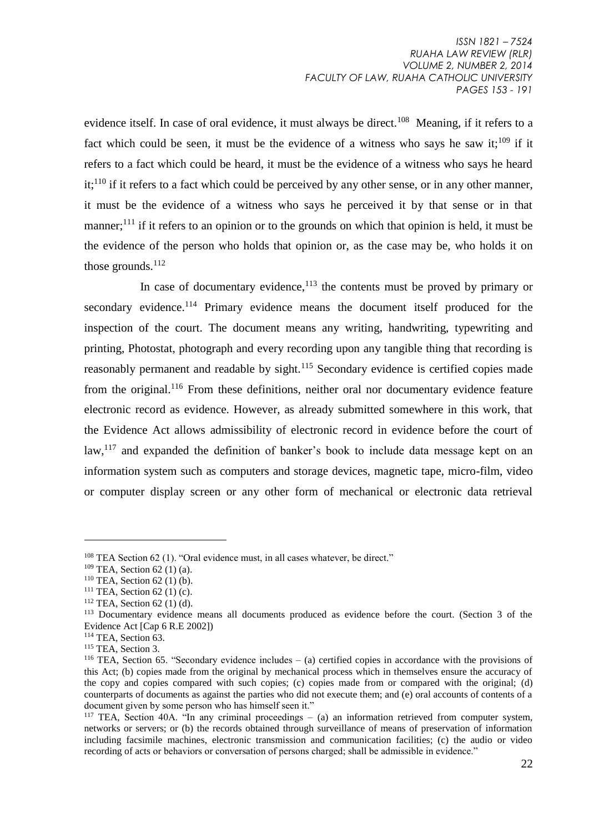evidence itself. In case of oral evidence, it must always be direct.<sup>108</sup> Meaning, if it refers to a fact which could be seen, it must be the evidence of a witness who says he saw it;<sup>109</sup> if it refers to a fact which could be heard, it must be the evidence of a witness who says he heard  $it$ <sup>110</sup> if it refers to a fact which could be perceived by any other sense, or in any other manner, it must be the evidence of a witness who says he perceived it by that sense or in that manner;  $^{111}$  if it refers to an opinion or to the grounds on which that opinion is held, it must be the evidence of the person who holds that opinion or, as the case may be, who holds it on those grounds. 112

In case of documentary evidence, $113$  the contents must be proved by primary or secondary evidence.<sup>114</sup> Primary evidence means the document itself produced for the inspection of the court. The document means any writing, handwriting, typewriting and printing, Photostat, photograph and every recording upon any tangible thing that recording is reasonably permanent and readable by sight.<sup>115</sup> Secondary evidence is certified copies made from the original.<sup>116</sup> From these definitions, neither oral nor documentary evidence feature electronic record as evidence. However, as already submitted somewhere in this work, that the Evidence Act allows admissibility of electronic record in evidence before the court of law, $117$  and expanded the definition of banker's book to include data message kept on an information system such as computers and storage devices, magnetic tape, micro-film, video or computer display screen or any other form of mechanical or electronic data retrieval

<sup>108</sup> TEA Section 62 (1). "Oral evidence must, in all cases whatever, be direct."

 $109$  TEA, Section 62 (1) (a).

 $110$  TEA. Section 62 (1) (b).

 $111$  TEA, Section 62 (1) (c).

 $112$  TEA, Section 62 (1) (d).

<sup>&</sup>lt;sup>113</sup> Documentary evidence means all documents produced as evidence before the court. (Section 3 of the Evidence Act [Cap 6 R.E 2002])

<sup>&</sup>lt;sup>114</sup> TEA, Section 63.

<sup>&</sup>lt;sup>115</sup> TEA, Section 3.

<sup>116</sup> TEA, Section 65. "Secondary evidence includes – (a) certified copies in accordance with the provisions of this Act; (b) copies made from the original by mechanical process which in themselves ensure the accuracy of the copy and copies compared with such copies; (c) copies made from or compared with the original; (d) counterparts of documents as against the parties who did not execute them; and (e) oral accounts of contents of a document given by some person who has himself seen it."

<sup>117</sup> TEA*,* Section 40A. "In any criminal proceedings – (a) an information retrieved from computer system, networks or servers; or (b) the records obtained through surveillance of means of preservation of information including facsimile machines, electronic transmission and communication facilities; (c) the audio or video recording of acts or behaviors or conversation of persons charged; shall be admissible in evidence."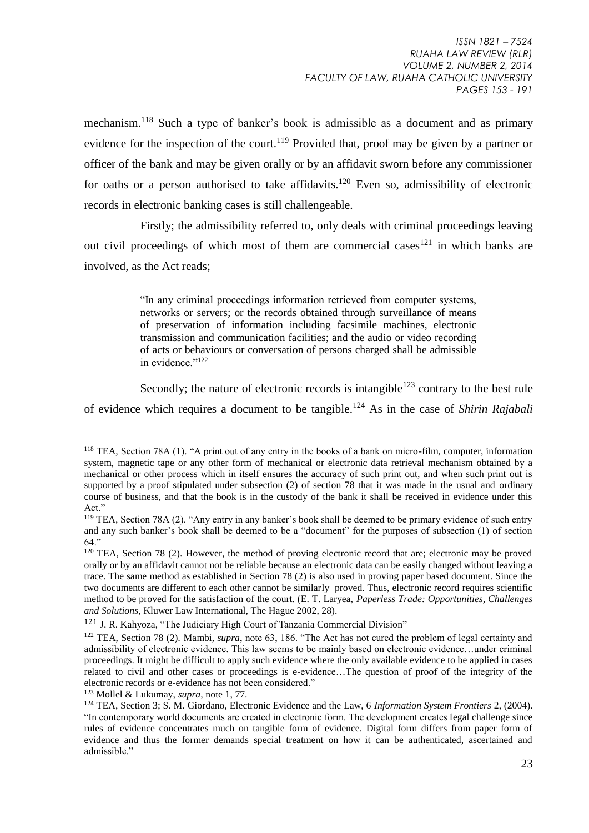mechanism.<sup>118</sup> Such a type of banker's book is admissible as a document and as primary evidence for the inspection of the court.<sup>119</sup> Provided that, proof may be given by a partner or officer of the bank and may be given orally or by an affidavit sworn before any commissioner for oaths or a person authorised to take affidavits.<sup>120</sup> Even so, admissibility of electronic records in electronic banking cases is still challengeable.

Firstly; the admissibility referred to, only deals with criminal proceedings leaving out civil proceedings of which most of them are commercial cases<sup>121</sup> in which banks are involved, as the Act reads;

> "In any criminal proceedings information retrieved from computer systems, networks or servers; or the records obtained through surveillance of means of preservation of information including facsimile machines, electronic transmission and communication facilities; and the audio or video recording of acts or behaviours or conversation of persons charged shall be admissible in evidence."<sup>122</sup>

Secondly; the nature of electronic records is intangible<sup>123</sup> contrary to the best rule of evidence which requires a document to be tangible.<sup>124</sup> As in the case of *Shirin Rajabali* 

<sup>118</sup> TEA*,* Section 78A (1). "A print out of any entry in the books of a bank on micro-film, computer, information system, magnetic tape or any other form of mechanical or electronic data retrieval mechanism obtained by a mechanical or other process which in itself ensures the accuracy of such print out, and when such print out is supported by a proof stipulated under subsection (2) of section 78 that it was made in the usual and ordinary course of business, and that the book is in the custody of the bank it shall be received in evidence under this Act."

<sup>119</sup> TEA*,* Section 78A (2). "Any entry in any banker's book shall be deemed to be primary evidence of such entry and any such banker's book shall be deemed to be a "document" for the purposes of subsection (1) of section 64'

<sup>&</sup>lt;sup>120</sup> TEA, Section 78 (2). However, the method of proving electronic record that are; electronic may be proved orally or by an affidavit cannot not be reliable because an electronic data can be easily changed without leaving a trace. The same method as established in Section 78 (2) is also used in proving paper based document. Since the two documents are different to each other cannot be similarly proved. Thus, electronic record requires scientific method to be proved for the satisfaction of the court. (E. T. Laryea, *Paperless Trade: Opportunities, Challenges and Solutions,* Kluwer Law International, The Hague 2002, 28).

<sup>121</sup> J. R. Kahyoza, "The Judiciary High Court of Tanzania Commercial Division"

<sup>122</sup> TEA, Section 78 (2)*.* Mambi, *supra*, note 63, 186. "The Act has not cured the problem of legal certainty and admissibility of electronic evidence. This law seems to be mainly based on electronic evidence…under criminal proceedings. It might be difficult to apply such evidence where the only available evidence to be applied in cases related to civil and other cases or proceedings is e-evidence…The question of proof of the integrity of the electronic records or e-evidence has not been considered."

<sup>123</sup> Mollel & Lukumay, *supra,* note 1, 77.

<sup>124</sup> TEA, Section 3; S. M. Giordano, Electronic Evidence and the Law, 6 *Information System Frontiers* 2, (2004). "In contemporary world documents are created in electronic form. The development creates legal challenge since rules of evidence concentrates much on tangible form of evidence. Digital form differs from paper form of evidence and thus the former demands special treatment on how it can be authenticated, ascertained and admissible."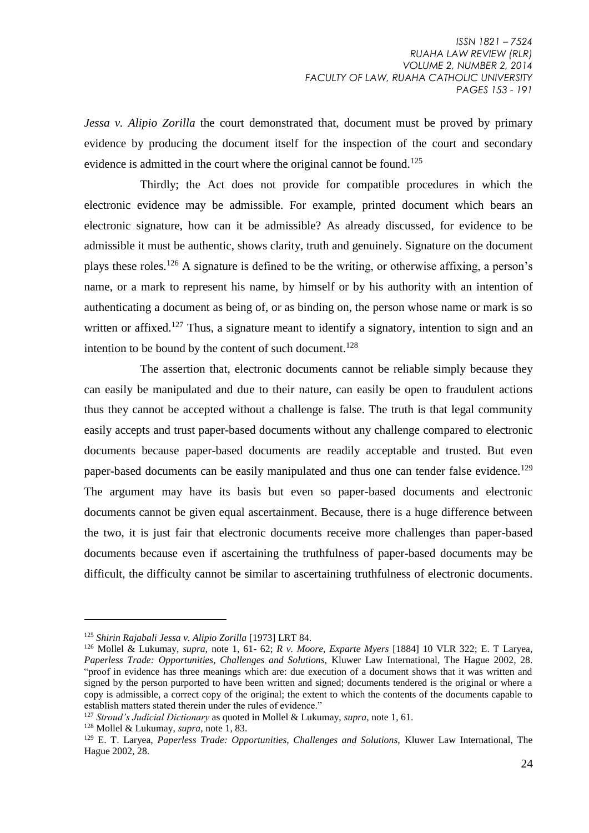*Jessa v. Alipio Zorilla* the court demonstrated that, document must be proved by primary evidence by producing the document itself for the inspection of the court and secondary evidence is admitted in the court where the original cannot be found.<sup>125</sup>

Thirdly; the Act does not provide for compatible procedures in which the electronic evidence may be admissible. For example, printed document which bears an electronic signature, how can it be admissible? As already discussed, for evidence to be admissible it must be authentic, shows clarity, truth and genuinely. Signature on the document plays these roles.<sup>126</sup> A signature is defined to be the writing, or otherwise affixing, a person's name, or a mark to represent his name, by himself or by his authority with an intention of authenticating a document as being of, or as binding on, the person whose name or mark is so written or affixed.<sup>127</sup> Thus, a signature meant to identify a signatory, intention to sign and an intention to be bound by the content of such document.<sup>128</sup>

The assertion that, electronic documents cannot be reliable simply because they can easily be manipulated and due to their nature, can easily be open to fraudulent actions thus they cannot be accepted without a challenge is false. The truth is that legal community easily accepts and trust paper-based documents without any challenge compared to electronic documents because paper-based documents are readily acceptable and trusted. But even paper-based documents can be easily manipulated and thus one can tender false evidence.<sup>129</sup> The argument may have its basis but even so paper-based documents and electronic documents cannot be given equal ascertainment. Because, there is a huge difference between the two, it is just fair that electronic documents receive more challenges than paper-based documents because even if ascertaining the truthfulness of paper-based documents may be difficult, the difficulty cannot be similar to ascertaining truthfulness of electronic documents.

<sup>125</sup> *Shirin Rajabali Jessa v. Alipio Zorilla* [1973] LRT 84.

<sup>126</sup> Mollel & Lukumay, *supra*, note 1, 61- 62; *R v. Moore, Exparte Myers* [1884] 10 VLR 322; E. T Laryea, *Paperless Trade: Opportunities, Challenges and Solutions,* Kluwer Law International, The Hague 2002, 28. "proof in evidence has three meanings which are: due execution of a document shows that it was written and signed by the person purported to have been written and signed; documents tendered is the original or where a copy is admissible, a correct copy of the original; the extent to which the contents of the documents capable to establish matters stated therein under the rules of evidence."

<sup>127</sup> *Stroud's Judicial Dictionary* as quoted in Mollel & Lukumay, *supra*, note 1, 61.

<sup>128</sup> Mollel & Lukumay, *supra*, note 1, 83.

<sup>129</sup> E. T. Laryea, *Paperless Trade: Opportunities, Challenges and Solutions,* Kluwer Law International, The Hague 2002, 28.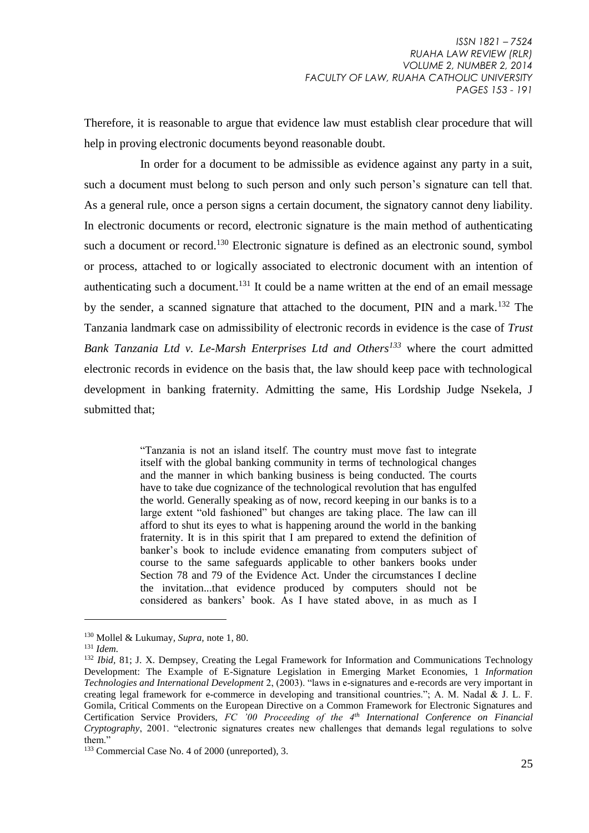Therefore, it is reasonable to argue that evidence law must establish clear procedure that will help in proving electronic documents beyond reasonable doubt.

In order for a document to be admissible as evidence against any party in a suit, such a document must belong to such person and only such person's signature can tell that. As a general rule, once a person signs a certain document, the signatory cannot deny liability. In electronic documents or record, electronic signature is the main method of authenticating such a document or record.<sup>130</sup> Electronic signature is defined as an electronic sound, symbol or process, attached to or logically associated to electronic document with an intention of authenticating such a document.<sup>131</sup> It could be a name written at the end of an email message by the sender, a scanned signature that attached to the document, PIN and a mark.<sup>132</sup> The Tanzania landmark case on admissibility of electronic records in evidence is the case of *Trust Bank Tanzania Ltd v. Le-Marsh Enterprises Ltd and Others<sup>133</sup>* where the court admitted electronic records in evidence on the basis that, the law should keep pace with technological development in banking fraternity. Admitting the same, His Lordship Judge Nsekela, J submitted that;

> "Tanzania is not an island itself. The country must move fast to integrate itself with the global banking community in terms of technological changes and the manner in which banking business is being conducted. The courts have to take due cognizance of the technological revolution that has engulfed the world. Generally speaking as of now, record keeping in our banks is to a large extent "old fashioned" but changes are taking place. The law can ill afford to shut its eyes to what is happening around the world in the banking fraternity. It is in this spirit that I am prepared to extend the definition of banker's book to include evidence emanating from computers subject of course to the same safeguards applicable to other bankers books under Section 78 and 79 of the Evidence Act. Under the circumstances I decline the invitation...that evidence produced by computers should not be considered as bankers' book. As I have stated above, in as much as I

<sup>130</sup> Mollel & Lukumay*, Supra,* note 1, 80.

<sup>131</sup> *Idem.* 

<sup>&</sup>lt;sup>132</sup> *Ibid, 81; J. X. Dempsey, Creating the Legal Framework for Information and Communications Technology* Development: The Example of E-Signature Legislation in Emerging Market Economies, 1 *Information Technologies and International Development* 2, (2003). "laws in e-signatures and e-records are very important in creating legal framework for e-commerce in developing and transitional countries."; A. M. Nadal & J. L. F. Gomila, Critical Comments on the European Directive on a Common Framework for Electronic Signatures and Certification Service Providers, *FC '00 Proceeding of the 4th International Conference on Financial Cryptography*, 2001. "electronic signatures creates new challenges that demands legal regulations to solve them."

<sup>133</sup> Commercial Case No. 4 of 2000 (unreported), 3.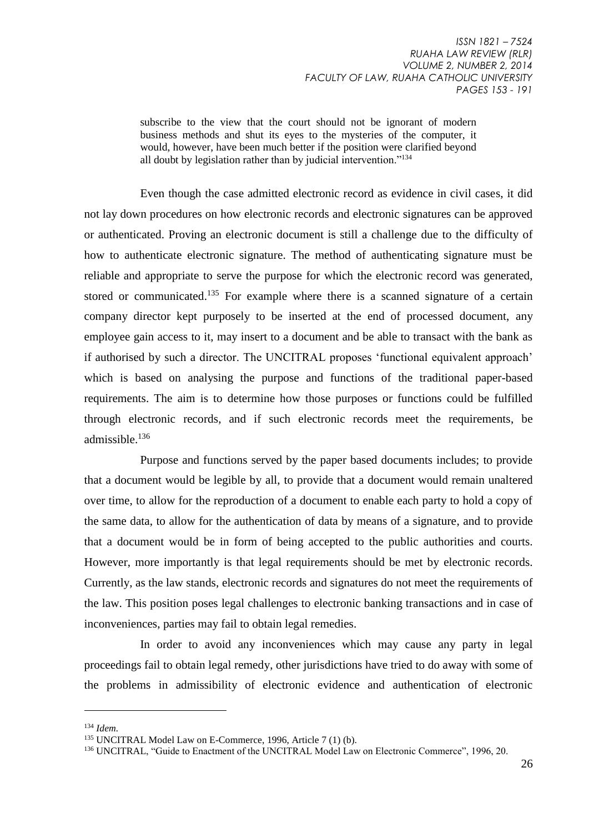subscribe to the view that the court should not be ignorant of modern business methods and shut its eyes to the mysteries of the computer, it would, however, have been much better if the position were clarified beyond all doubt by legislation rather than by judicial intervention."<sup>134</sup>

Even though the case admitted electronic record as evidence in civil cases, it did not lay down procedures on how electronic records and electronic signatures can be approved or authenticated. Proving an electronic document is still a challenge due to the difficulty of how to authenticate electronic signature. The method of authenticating signature must be reliable and appropriate to serve the purpose for which the electronic record was generated, stored or communicated.<sup>135</sup> For example where there is a scanned signature of a certain company director kept purposely to be inserted at the end of processed document, any employee gain access to it, may insert to a document and be able to transact with the bank as if authorised by such a director. The UNCITRAL proposes 'functional equivalent approach' which is based on analysing the purpose and functions of the traditional paper-based requirements. The aim is to determine how those purposes or functions could be fulfilled through electronic records, and if such electronic records meet the requirements, be admissible.<sup>136</sup>

Purpose and functions served by the paper based documents includes; to provide that a document would be legible by all, to provide that a document would remain unaltered over time, to allow for the reproduction of a document to enable each party to hold a copy of the same data, to allow for the authentication of data by means of a signature, and to provide that a document would be in form of being accepted to the public authorities and courts. However, more importantly is that legal requirements should be met by electronic records. Currently, as the law stands, electronic records and signatures do not meet the requirements of the law. This position poses legal challenges to electronic banking transactions and in case of inconveniences, parties may fail to obtain legal remedies.

In order to avoid any inconveniences which may cause any party in legal proceedings fail to obtain legal remedy, other jurisdictions have tried to do away with some of the problems in admissibility of electronic evidence and authentication of electronic

<sup>134</sup> *Idem.*

<sup>135</sup> UNCITRAL Model Law on E-Commerce, 1996, Article 7 (1) (b).

<sup>136</sup> UNCITRAL, "Guide to Enactment of the UNCITRAL Model Law on Electronic Commerce", 1996, 20.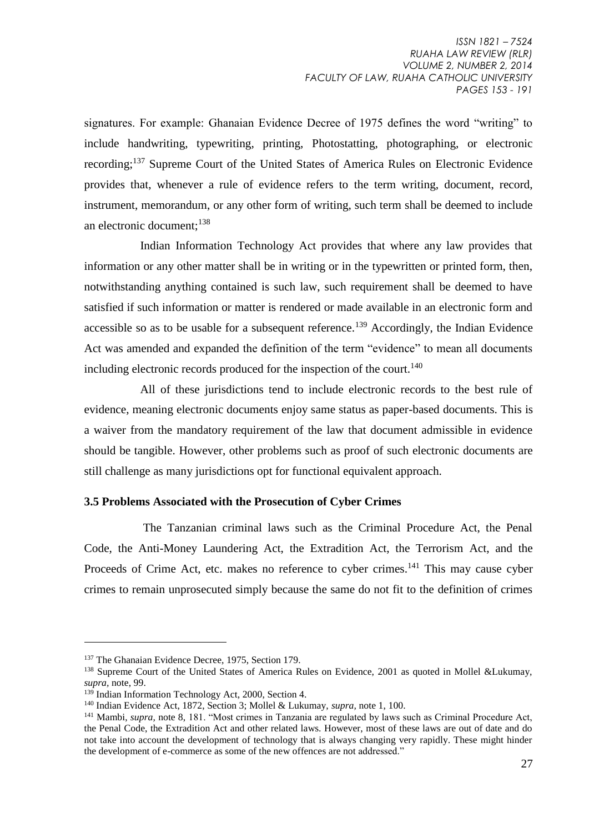signatures. For example: Ghanaian Evidence Decree of 1975 defines the word "writing" to include handwriting, typewriting, printing, Photostatting, photographing, or electronic recording;<sup>137</sup> Supreme Court of the United States of America Rules on Electronic Evidence provides that, whenever a rule of evidence refers to the term writing, document, record, instrument, memorandum, or any other form of writing, such term shall be deemed to include an electronic document;<sup>138</sup>

Indian Information Technology Act provides that where any law provides that information or any other matter shall be in writing or in the typewritten or printed form, then, notwithstanding anything contained is such law, such requirement shall be deemed to have satisfied if such information or matter is rendered or made available in an electronic form and accessible so as to be usable for a subsequent reference.<sup>139</sup> Accordingly, the Indian Evidence Act was amended and expanded the definition of the term "evidence" to mean all documents including electronic records produced for the inspection of the court.<sup>140</sup>

All of these jurisdictions tend to include electronic records to the best rule of evidence, meaning electronic documents enjoy same status as paper-based documents. This is a waiver from the mandatory requirement of the law that document admissible in evidence should be tangible. However, other problems such as proof of such electronic documents are still challenge as many jurisdictions opt for functional equivalent approach.

#### **3.5 Problems Associated with the Prosecution of Cyber Crimes**

The Tanzanian criminal laws such as the Criminal Procedure Act, the Penal Code, the Anti-Money Laundering Act, the Extradition Act, the Terrorism Act, and the Proceeds of Crime Act, etc. makes no reference to cyber crimes.<sup>141</sup> This may cause cyber crimes to remain unprosecuted simply because the same do not fit to the definition of crimes

<sup>&</sup>lt;sup>137</sup> The Ghanaian Evidence Decree, 1975, Section 179.

<sup>&</sup>lt;sup>138</sup> Supreme Court of the United States of America Rules on Evidence, 2001 as quoted in Mollel &Lukumay, *supra,* note, 99.

 $139$  Indian Information Technology Act, 2000, Section 4.

<sup>140</sup> Indian Evidence Act, 1872, Section 3; Mollel & Lukumay, *supra,* note 1, 100.

<sup>141</sup> Mambi, *supra,* note 8, 181. "Most crimes in Tanzania are regulated by laws such as Criminal Procedure Act, the Penal Code, the Extradition Act and other related laws. However, most of these laws are out of date and do not take into account the development of technology that is always changing very rapidly. These might hinder the development of e-commerce as some of the new offences are not addressed."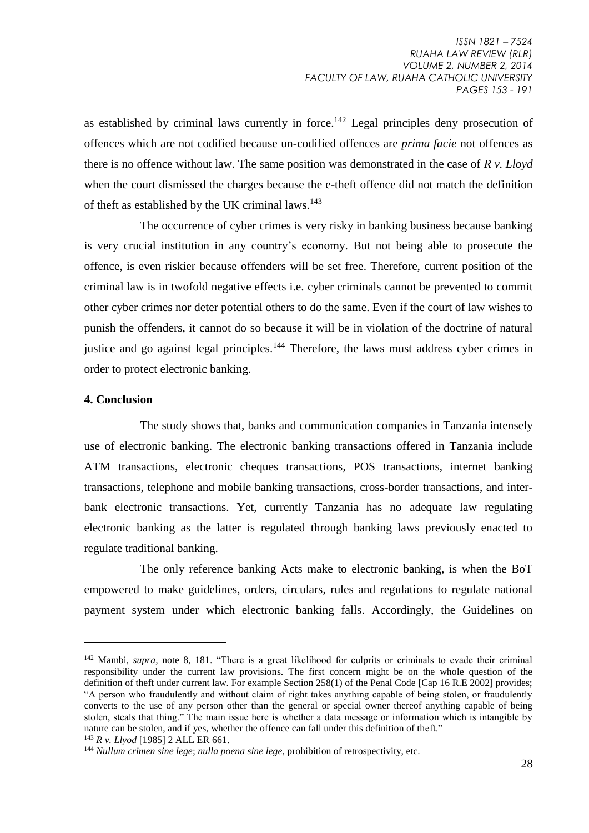as established by criminal laws currently in force.<sup>142</sup> Legal principles deny prosecution of offences which are not codified because un-codified offences are *prima facie* not offences as there is no offence without law. The same position was demonstrated in the case of *R v. Lloyd* when the court dismissed the charges because the e-theft offence did not match the definition of theft as established by the UK criminal laws.<sup>143</sup>

The occurrence of cyber crimes is very risky in banking business because banking is very crucial institution in any country's economy. But not being able to prosecute the offence, is even riskier because offenders will be set free. Therefore, current position of the criminal law is in twofold negative effects i.e. cyber criminals cannot be prevented to commit other cyber crimes nor deter potential others to do the same. Even if the court of law wishes to punish the offenders, it cannot do so because it will be in violation of the doctrine of natural justice and go against legal principles.<sup>144</sup> Therefore, the laws must address cyber crimes in order to protect electronic banking.

#### **4. Conclusion**

1

The study shows that, banks and communication companies in Tanzania intensely use of electronic banking. The electronic banking transactions offered in Tanzania include ATM transactions, electronic cheques transactions, POS transactions, internet banking transactions, telephone and mobile banking transactions, cross-border transactions, and interbank electronic transactions. Yet, currently Tanzania has no adequate law regulating electronic banking as the latter is regulated through banking laws previously enacted to regulate traditional banking.

The only reference banking Acts make to electronic banking, is when the BoT empowered to make guidelines, orders, circulars, rules and regulations to regulate national payment system under which electronic banking falls. Accordingly, the Guidelines on

```
143 R v. Llyod [1985] 2 ALL ER 661.
```
<sup>142</sup> Mambi, *supra,* note 8, 181. "There is a great likelihood for culprits or criminals to evade their criminal responsibility under the current law provisions. The first concern might be on the whole question of the definition of theft under current law. For example Section 258(1) of the Penal Code [Cap 16 R.E 2002] provides; "A person who fraudulently and without claim of right takes anything capable of being stolen, or fraudulently converts to the use of any person other than the general or special owner thereof anything capable of being stolen, steals that thing." The main issue here is whether a data message or information which is intangible by nature can be stolen, and if yes, whether the offence can fall under this definition of theft."

<sup>144</sup> *Nullum crimen sine lege*; *nulla poena sine lege*, prohibition of retrospectivity, etc.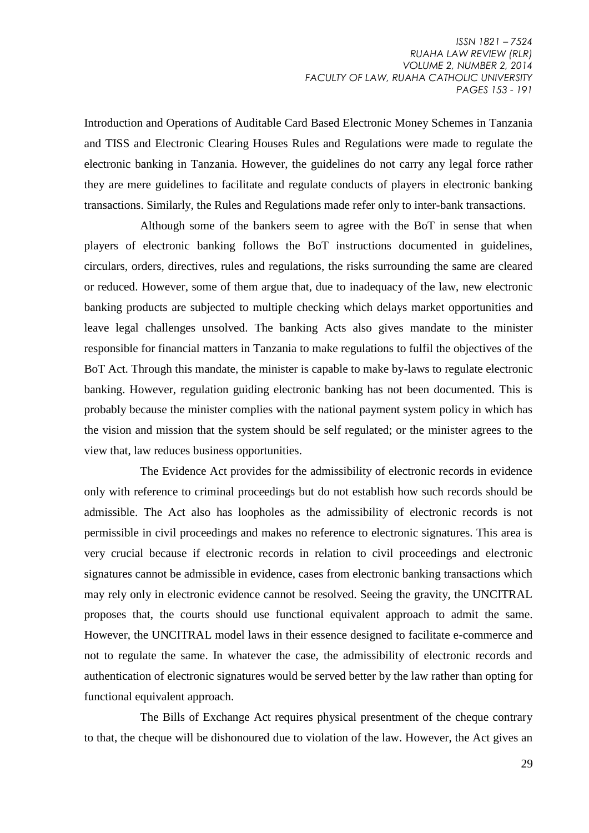Introduction and Operations of Auditable Card Based Electronic Money Schemes in Tanzania and TISS and Electronic Clearing Houses Rules and Regulations were made to regulate the electronic banking in Tanzania. However, the guidelines do not carry any legal force rather they are mere guidelines to facilitate and regulate conducts of players in electronic banking transactions. Similarly, the Rules and Regulations made refer only to inter-bank transactions.

Although some of the bankers seem to agree with the BoT in sense that when players of electronic banking follows the BoT instructions documented in guidelines, circulars, orders, directives, rules and regulations, the risks surrounding the same are cleared or reduced. However, some of them argue that, due to inadequacy of the law, new electronic banking products are subjected to multiple checking which delays market opportunities and leave legal challenges unsolved. The banking Acts also gives mandate to the minister responsible for financial matters in Tanzania to make regulations to fulfil the objectives of the BoT Act. Through this mandate, the minister is capable to make by-laws to regulate electronic banking. However, regulation guiding electronic banking has not been documented. This is probably because the minister complies with the national payment system policy in which has the vision and mission that the system should be self regulated; or the minister agrees to the view that, law reduces business opportunities.

The Evidence Act provides for the admissibility of electronic records in evidence only with reference to criminal proceedings but do not establish how such records should be admissible. The Act also has loopholes as the admissibility of electronic records is not permissible in civil proceedings and makes no reference to electronic signatures. This area is very crucial because if electronic records in relation to civil proceedings and electronic signatures cannot be admissible in evidence, cases from electronic banking transactions which may rely only in electronic evidence cannot be resolved. Seeing the gravity, the UNCITRAL proposes that, the courts should use functional equivalent approach to admit the same. However, the UNCITRAL model laws in their essence designed to facilitate e-commerce and not to regulate the same. In whatever the case, the admissibility of electronic records and authentication of electronic signatures would be served better by the law rather than opting for functional equivalent approach.

The Bills of Exchange Act requires physical presentment of the cheque contrary to that, the cheque will be dishonoured due to violation of the law. However, the Act gives an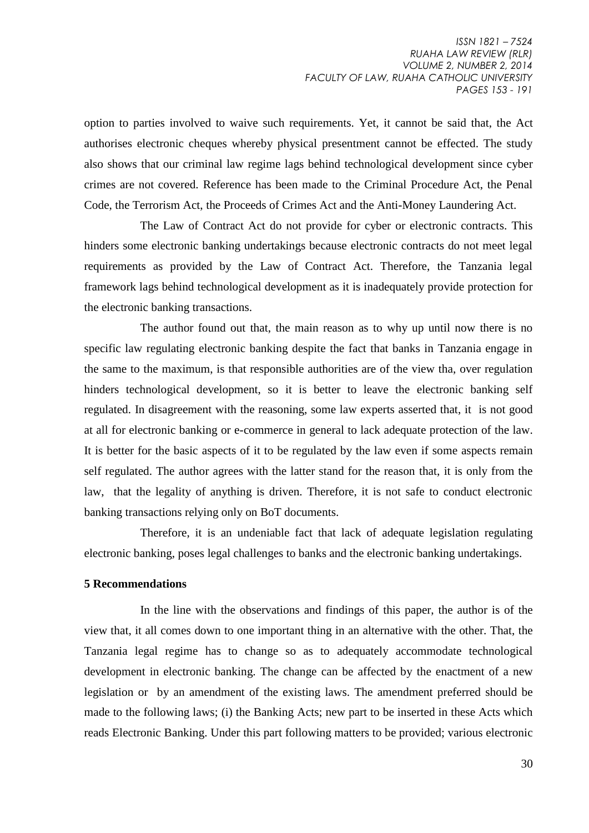option to parties involved to waive such requirements. Yet, it cannot be said that, the Act authorises electronic cheques whereby physical presentment cannot be effected. The study also shows that our criminal law regime lags behind technological development since cyber crimes are not covered. Reference has been made to the Criminal Procedure Act, the Penal Code, the Terrorism Act, the Proceeds of Crimes Act and the Anti-Money Laundering Act.

The Law of Contract Act do not provide for cyber or electronic contracts. This hinders some electronic banking undertakings because electronic contracts do not meet legal requirements as provided by the Law of Contract Act. Therefore, the Tanzania legal framework lags behind technological development as it is inadequately provide protection for the electronic banking transactions.

The author found out that, the main reason as to why up until now there is no specific law regulating electronic banking despite the fact that banks in Tanzania engage in the same to the maximum, is that responsible authorities are of the view tha, over regulation hinders technological development, so it is better to leave the electronic banking self regulated. In disagreement with the reasoning, some law experts asserted that, it is not good at all for electronic banking or e-commerce in general to lack adequate protection of the law. It is better for the basic aspects of it to be regulated by the law even if some aspects remain self regulated. The author agrees with the latter stand for the reason that, it is only from the law, that the legality of anything is driven. Therefore, it is not safe to conduct electronic banking transactions relying only on BoT documents.

Therefore, it is an undeniable fact that lack of adequate legislation regulating electronic banking, poses legal challenges to banks and the electronic banking undertakings.

#### **5 Recommendations**

In the line with the observations and findings of this paper, the author is of the view that, it all comes down to one important thing in an alternative with the other. That, the Tanzania legal regime has to change so as to adequately accommodate technological development in electronic banking. The change can be affected by the enactment of a new legislation or by an amendment of the existing laws. The amendment preferred should be made to the following laws; (i) the Banking Acts; new part to be inserted in these Acts which reads Electronic Banking. Under this part following matters to be provided; various electronic